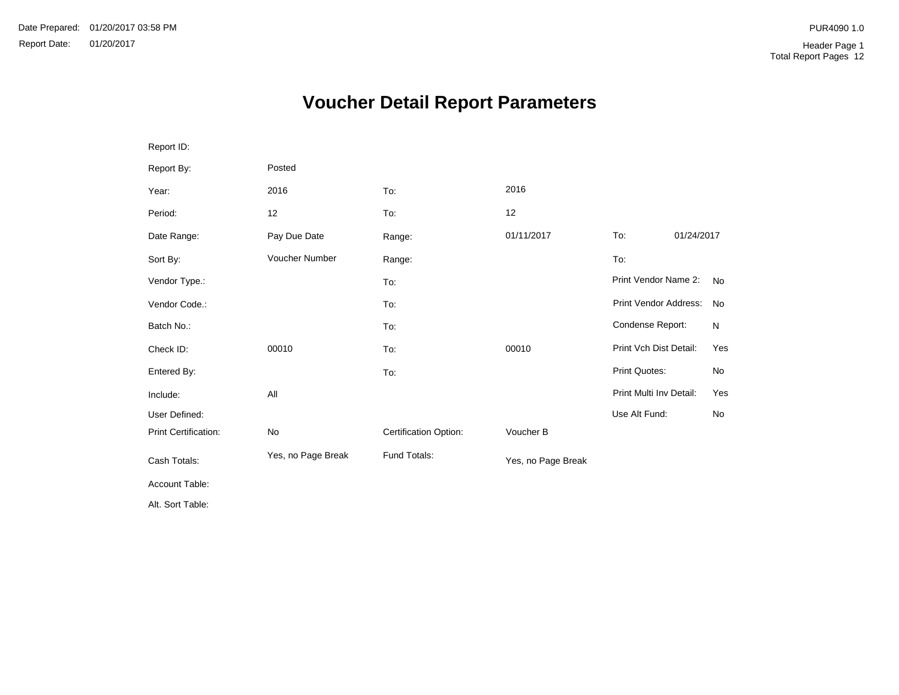# **Voucher Detail Report Parameters**

| Report ID:           |                    |                       |                    |                         |            |           |
|----------------------|--------------------|-----------------------|--------------------|-------------------------|------------|-----------|
| Report By:           | Posted             |                       |                    |                         |            |           |
| Year:                | 2016               | To:                   | 2016               |                         |            |           |
| Period:              | 12                 | To:                   | 12                 |                         |            |           |
| Date Range:          | Pay Due Date       | Range:                | 01/11/2017         | To:                     | 01/24/2017 |           |
| Sort By:             | Voucher Number     | Range:                |                    | To:                     |            |           |
| Vendor Type.:        |                    | To:                   |                    | Print Vendor Name 2:    |            | <b>No</b> |
| Vendor Code.:        |                    | To:                   |                    | Print Vendor Address:   |            | <b>No</b> |
| Batch No.:           |                    | To:                   |                    | Condense Report:        |            | N         |
| Check ID:            | 00010              | To:                   | 00010              | Print Vch Dist Detail:  |            | Yes       |
| Entered By:          |                    | To:                   |                    | Print Quotes:           |            | No        |
| Include:             | All                |                       |                    | Print Multi Inv Detail: |            | Yes       |
| User Defined:        |                    |                       |                    | Use Alt Fund:           |            | No        |
| Print Certification: | No                 | Certification Option: | Voucher B          |                         |            |           |
| Cash Totals:         | Yes, no Page Break | Fund Totals:          | Yes, no Page Break |                         |            |           |
| Account Table:       |                    |                       |                    |                         |            |           |
| Alt. Sort Table:     |                    |                       |                    |                         |            |           |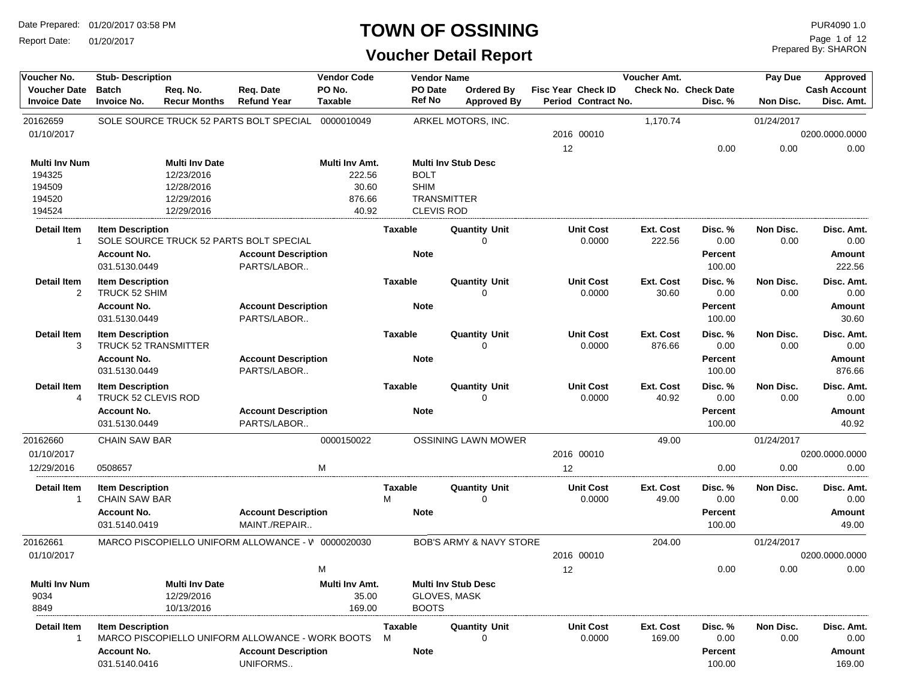Report Date: 01/20/2017

### **TOWN OF OSSINING**

| Voucher No.                                                  | <b>Stub-Description</b>                                        |                                                                               |                                                                                            | <b>Vendor Code</b>                                   |                             | <b>Vendor Name</b>                      |                                         |                           |                            | Voucher Amt.              |                                        | Pay Due           | Approved                               |
|--------------------------------------------------------------|----------------------------------------------------------------|-------------------------------------------------------------------------------|--------------------------------------------------------------------------------------------|------------------------------------------------------|-----------------------------|-----------------------------------------|-----------------------------------------|---------------------------|----------------------------|---------------------------|----------------------------------------|-------------------|----------------------------------------|
| <b>Voucher Date</b><br><b>Invoice Date</b>                   | <b>Batch</b><br><b>Invoice No.</b>                             | Req. No.<br><b>Recur Months</b>                                               | Req. Date<br><b>Refund Year</b>                                                            | PO No.<br><b>Taxable</b>                             |                             | PO Date<br><b>Ref No</b>                | <b>Ordered By</b><br><b>Approved By</b> | <b>Fisc Year Check ID</b> | Period Contract No.        |                           | <b>Check No. Check Date</b><br>Disc. % | Non Disc.         | <b>Cash Account</b><br>Disc. Amt.      |
| 20162659                                                     |                                                                |                                                                               | SOLE SOURCE TRUCK 52 PARTS BOLT SPECIAL                                                    | 0000010049                                           |                             |                                         | ARKEL MOTORS, INC.                      |                           |                            | 1,170.74                  |                                        | 01/24/2017        |                                        |
| 01/10/2017                                                   |                                                                |                                                                               |                                                                                            |                                                      |                             |                                         |                                         |                           | 2016 00010                 |                           |                                        |                   | 0200.0000.0000                         |
|                                                              |                                                                |                                                                               |                                                                                            |                                                      |                             |                                         |                                         | 12                        |                            |                           | 0.00                                   | 0.00              | 0.00                                   |
| <b>Multi Inv Num</b><br>194325<br>194509<br>194520<br>194524 |                                                                | <b>Multi Inv Date</b><br>12/23/2016<br>12/28/2016<br>12/29/2016<br>12/29/2016 |                                                                                            | Multi Inv Amt.<br>222.56<br>30.60<br>876.66<br>40.92 | <b>BOLT</b><br><b>SHIM</b>  | <b>TRANSMITTER</b><br><b>CLEVIS ROD</b> | <b>Multi Inv Stub Desc</b>              |                           |                            |                           |                                        |                   |                                        |
| Detail Item<br>$\overline{1}$                                | <b>Item Description</b>                                        |                                                                               | SOLE SOURCE TRUCK 52 PARTS BOLT SPECIAL                                                    |                                                      | Taxable                     |                                         | <b>Quantity Unit</b><br>$\Omega$        |                           | Unit Cost<br>0.0000        | Ext. Cost<br>222.56       | Disc. %<br>0.00                        | Non Disc.<br>0.00 | Disc. Amt.<br>0.00                     |
|                                                              | <b>Account No.</b><br>031.5130.0449                            |                                                                               | <b>Account Description</b><br>PARTS/LABOR                                                  |                                                      | <b>Note</b>                 |                                         |                                         |                           |                            |                           | <b>Percent</b><br>100.00               |                   | Amount<br>222.56                       |
| <b>Detail Item</b><br>$\overline{2}$                         | <b>Item Description</b><br>TRUCK 52 SHIM                       |                                                                               |                                                                                            |                                                      | <b>Taxable</b>              |                                         | <b>Quantity Unit</b><br>$\Omega$        |                           | <b>Unit Cost</b><br>0.0000 | Ext. Cost<br>30.60        | Disc. %<br>0.00                        | Non Disc.<br>0.00 | Disc. Amt.<br>0.00                     |
|                                                              | <b>Account No.</b><br>031.5130.0449                            |                                                                               | <b>Account Description</b><br>PARTS/LABOR                                                  |                                                      | <b>Note</b>                 |                                         |                                         |                           |                            |                           | <b>Percent</b><br>100.00               |                   | Amount<br>30.60                        |
| <b>Detail Item</b><br>3                                      | <b>Item Description</b><br><b>TRUCK 52 TRANSMITTER</b>         |                                                                               |                                                                                            |                                                      | <b>Taxable</b>              |                                         | <b>Quantity Unit</b><br>$\Omega$        |                           | <b>Unit Cost</b><br>0.0000 | Ext. Cost<br>876.66       | Disc. %<br>0.00                        | Non Disc.<br>0.00 | Disc. Amt.<br>0.00                     |
|                                                              | <b>Account No.</b><br>031.5130.0449                            |                                                                               | <b>Account Description</b><br>PARTS/LABOR                                                  |                                                      | <b>Note</b>                 |                                         |                                         |                           |                            |                           | <b>Percent</b><br>100.00               |                   | Amount<br>876.66                       |
| <b>Detail Item</b><br>4                                      | <b>Item Description</b><br><b>TRUCK 52 CLEVIS ROD</b>          |                                                                               |                                                                                            |                                                      | <b>Taxable</b>              |                                         | <b>Quantity Unit</b><br>$\Omega$        |                           | <b>Unit Cost</b><br>0.0000 | <b>Ext. Cost</b><br>40.92 | Disc. %<br>0.00                        | Non Disc.<br>0.00 | Disc. Amt.<br>0.00                     |
|                                                              | <b>Account No.</b><br>031.5130.0449                            |                                                                               | <b>Account Description</b><br>PARTS/LABOR                                                  |                                                      | <b>Note</b>                 |                                         |                                         |                           |                            |                           | Percent<br>100.00                      |                   | Amount<br>40.92                        |
| 20162660                                                     | <b>CHAIN SAW BAR</b>                                           |                                                                               |                                                                                            | 0000150022                                           |                             |                                         | <b>OSSINING LAWN MOWER</b>              |                           |                            | 49.00                     |                                        | 01/24/2017        |                                        |
| 01/10/2017                                                   |                                                                |                                                                               |                                                                                            |                                                      |                             |                                         |                                         |                           | 2016 00010                 |                           |                                        |                   | 0200.0000.0000                         |
| 12/29/2016                                                   | 0508657                                                        |                                                                               |                                                                                            | M                                                    |                             |                                         |                                         | 12                        |                            |                           | 0.00                                   | 0.00              | 0.00                                   |
| <b>Detail Item</b><br>-1                                     | <b>Item Description</b><br><b>CHAIN SAW BAR</b>                |                                                                               |                                                                                            |                                                      | Taxable<br>М                |                                         | <b>Quantity Unit</b><br>$\Omega$        |                           | <b>Unit Cost</b><br>0.0000 | Ext. Cost<br>49.00        | Disc. %<br>0.00                        | Non Disc.<br>0.00 | Disc. Amt.<br>0.00                     |
|                                                              | <b>Account No.</b><br>031.5140.0419                            |                                                                               | <b>Account Description</b><br>MAINT./REPAIR                                                |                                                      | <b>Note</b>                 |                                         |                                         |                           |                            |                           | <b>Percent</b><br>100.00               |                   | Amount<br>49.00                        |
| 20162661                                                     |                                                                |                                                                               | MARCO PISCOPIELLO UNIFORM ALLOWANCE - V 0000020030                                         |                                                      |                             |                                         | <b>BOB'S ARMY &amp; NAVY STORE</b>      |                           |                            | 204.00                    |                                        | 01/24/2017        |                                        |
| 01/10/2017                                                   |                                                                |                                                                               |                                                                                            |                                                      |                             |                                         |                                         |                           | 2016 00010                 |                           |                                        |                   | 0200.0000.0000                         |
|                                                              |                                                                |                                                                               |                                                                                            | M                                                    |                             |                                         |                                         | 12                        |                            |                           | 0.00                                   | 0.00              | 0.00                                   |
| <b>Multi Inv Num</b><br>9034<br>8849                         |                                                                | <b>Multi Inv Date</b><br>12/29/2016<br>10/13/2016                             |                                                                                            | Multi Inv Amt.<br>35.00<br>169.00                    |                             | GLOVES, MASK<br><b>BOOTS</b>            | <b>Multi Inv Stub Desc</b>              |                           |                            |                           |                                        |                   |                                        |
| <b>Detail Item</b>                                           | <b>Item Description</b><br><b>Account No.</b><br>031.5140.0416 |                                                                               | MARCO PISCOPIELLO UNIFORM ALLOWANCE - WORK BOOTS<br><b>Account Description</b><br>UNIFORMS |                                                      | Taxable<br>M<br><b>Note</b> |                                         | <b>Quantity Unit</b><br>0               |                           | <b>Unit Cost</b><br>0.0000 | Ext. Cost<br>169.00       | Disc. %<br>0.00<br>Percent<br>100.00   | Non Disc.<br>0.00 | Disc. Amt.<br>0.00<br>Amount<br>169.00 |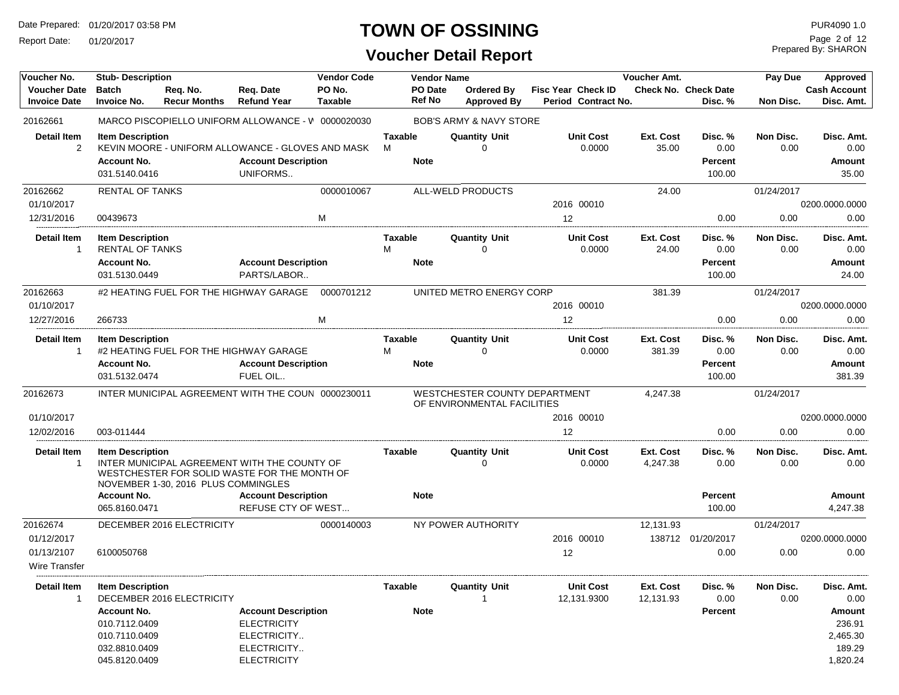Report Date: 01/20/2017

## **TOWN OF OSSINING** PURA090 1.0

**Voucher Detail Report**

Prepared By: SHARON Page 2 of 12

| Voucher No.                                | <b>Stub-Description</b>            |                                     |                                                    | <b>Vendor Code</b>       |                | <b>Vendor Name</b>       |                                                              |                                           | Voucher Amt. |                                 | Pay Due    | Approved                          |
|--------------------------------------------|------------------------------------|-------------------------------------|----------------------------------------------------|--------------------------|----------------|--------------------------|--------------------------------------------------------------|-------------------------------------------|--------------|---------------------------------|------------|-----------------------------------|
| <b>Voucher Date</b><br><b>Invoice Date</b> | <b>Batch</b><br><b>Invoice No.</b> | Reg. No.<br><b>Recur Months</b>     | Req. Date<br><b>Refund Year</b>                    | PO No.<br><b>Taxable</b> |                | PO Date<br><b>Ref No</b> | Ordered By<br><b>Approved By</b>                             | Fisc Year Check ID<br>Period Contract No. |              | Check No. Check Date<br>Disc. % | Non Disc.  | <b>Cash Account</b><br>Disc. Amt. |
| 20162661                                   |                                    |                                     | MARCO PISCOPIELLO UNIFORM ALLOWANCE - V 0000020030 |                          |                |                          | <b>BOB'S ARMY &amp; NAVY STORE</b>                           |                                           |              |                                 |            |                                   |
| <b>Detail Item</b>                         | <b>Item Description</b>            |                                     |                                                    |                          | <b>Taxable</b> |                          | <b>Quantity Unit</b>                                         | <b>Unit Cost</b>                          | Ext. Cost    | Disc. %                         | Non Disc.  | Disc. Amt.                        |
| $\overline{2}$                             |                                    |                                     | KEVIN MOORE - UNIFORM ALLOWANCE - GLOVES AND MASK  |                          | М              |                          |                                                              | 0.0000                                    | 35.00        | 0.00                            | 0.00       | 0.00                              |
|                                            | <b>Account No.</b>                 |                                     | <b>Account Description</b>                         |                          |                | <b>Note</b>              |                                                              |                                           |              | <b>Percent</b>                  |            | <b>Amount</b>                     |
|                                            | 031.5140.0416                      |                                     | UNIFORMS                                           |                          |                |                          |                                                              |                                           |              | 100.00                          |            | 35.00                             |
| 20162662                                   | <b>RENTAL OF TANKS</b>             |                                     |                                                    | 0000010067               |                |                          | ALL-WELD PRODUCTS                                            |                                           | 24.00        |                                 | 01/24/2017 |                                   |
| 01/10/2017                                 |                                    |                                     |                                                    |                          |                |                          |                                                              | 2016 00010                                |              |                                 |            | 0200.0000.0000                    |
| 12/31/2016                                 | 00439673                           |                                     |                                                    | M                        |                |                          |                                                              | 12                                        |              | 0.00                            | 0.00       | 0.00                              |
| <b>Detail Item</b>                         | <b>Item Description</b>            |                                     |                                                    |                          | Taxable        |                          | <b>Quantity Unit</b>                                         | <b>Unit Cost</b>                          | Ext. Cost    | Disc. %                         | Non Disc.  | Disc. Amt.                        |
| -1                                         | <b>RENTAL OF TANKS</b>             |                                     |                                                    |                          | M              |                          | 0                                                            | 0.0000                                    | 24.00        | 0.00                            | 0.00       | 0.00                              |
|                                            | <b>Account No.</b>                 |                                     | <b>Account Description</b>                         |                          |                | <b>Note</b>              |                                                              |                                           |              | <b>Percent</b>                  |            | Amount                            |
|                                            | 031.5130.0449                      |                                     | PARTS/LABOR                                        |                          |                |                          |                                                              |                                           |              | 100.00                          |            | 24.00                             |
| 20162663                                   |                                    |                                     | #2 HEATING FUEL FOR THE HIGHWAY GARAGE             | 0000701212               |                |                          | UNITED METRO ENERGY CORP                                     |                                           | 381.39       |                                 | 01/24/2017 |                                   |
| 01/10/2017                                 |                                    |                                     |                                                    |                          |                |                          |                                                              | 2016 00010                                |              |                                 |            | 0200.0000.0000                    |
| 12/27/2016                                 | 266733                             |                                     |                                                    | M                        |                |                          |                                                              | $12 \overline{ }$                         |              | 0.00                            | 0.00       | 0.00                              |
| <b>Detail Item</b>                         | <b>Item Description</b>            |                                     |                                                    |                          | <b>Taxable</b> |                          | <b>Quantity Unit</b>                                         | <b>Unit Cost</b>                          | Ext. Cost    | Disc. %                         | Non Disc.  | Disc. Amt.                        |
| $\mathbf{1}$                               |                                    |                                     | #2 HEATING FUEL FOR THE HIGHWAY GARAGE             |                          | M              |                          | $\Omega$                                                     | 0.0000                                    | 381.39       | 0.00                            | 0.00       | 0.00                              |
|                                            | <b>Account No.</b>                 |                                     | <b>Account Description</b>                         |                          |                | <b>Note</b>              |                                                              |                                           |              | <b>Percent</b>                  |            | <b>Amount</b>                     |
|                                            | 031.5132.0474                      |                                     | FUEL OIL                                           |                          |                |                          |                                                              |                                           |              | 100.00                          |            | 381.39                            |
| 20162673                                   |                                    |                                     | INTER MUNICIPAL AGREEMENT WITH THE COUN 0000230011 |                          |                |                          | WESTCHESTER COUNTY DEPARTMENT<br>OF ENVIRONMENTAL FACILITIES |                                           | 4,247.38     |                                 | 01/24/2017 |                                   |
| 01/10/2017                                 |                                    |                                     |                                                    |                          |                |                          |                                                              | 2016 00010                                |              |                                 |            | 0200.0000.0000                    |
| 12/02/2016                                 | 003-011444                         |                                     |                                                    |                          |                |                          |                                                              | $12 \overline{ }$                         |              | 0.00                            | 0.00       | 0.00                              |
| <b>Detail Item</b>                         | <b>Item Description</b>            |                                     |                                                    |                          | Taxable        |                          | <b>Quantity Unit</b>                                         | <b>Unit Cost</b>                          | Ext. Cost    | Disc. %                         | Non Disc.  | Disc. Amt.                        |
| $\overline{1}$                             |                                    |                                     | INTER MUNICIPAL AGREEMENT WITH THE COUNTY OF       |                          |                |                          | $\Omega$                                                     | 0.0000                                    | 4,247.38     | 0.00                            | 0.00       | 0.00                              |
|                                            |                                    | NOVEMBER 1-30, 2016 PLUS COMMINGLES | WESTCHESTER FOR SOLID WASTE FOR THE MONTH OF       |                          |                |                          |                                                              |                                           |              |                                 |            |                                   |
|                                            | <b>Account No.</b>                 |                                     | <b>Account Description</b>                         |                          |                | <b>Note</b>              |                                                              |                                           |              | <b>Percent</b>                  |            | <b>Amount</b>                     |
|                                            | 065.8160.0471                      |                                     | <b>REFUSE CTY OF WEST</b>                          |                          |                |                          |                                                              |                                           |              | 100.00                          |            | 4,247.38                          |
| 20162674                                   |                                    | DECEMBER 2016 ELECTRICITY           |                                                    | 0000140003               |                |                          | NY POWER AUTHORITY                                           |                                           | 12,131.93    |                                 | 01/24/2017 |                                   |
| 01/12/2017                                 |                                    |                                     |                                                    |                          |                |                          |                                                              | 2016 00010                                |              | 138712 01/20/2017               |            | 0200.0000.0000                    |
| 01/13/2107                                 | 6100050768                         |                                     |                                                    |                          |                |                          |                                                              | 12                                        |              | 0.00                            | 0.00       | 0.00                              |
| Wire Transfer                              |                                    |                                     |                                                    |                          |                |                          |                                                              |                                           |              |                                 |            |                                   |
| <b>Detail Item</b>                         | <b>Item Description</b>            |                                     |                                                    |                          | Taxable        |                          | <b>Quantity Unit</b>                                         | <b>Unit Cost</b>                          | Ext. Cost    | Disc. %                         | Non Disc.  | Disc. Amt.                        |
| -1                                         |                                    | DECEMBER 2016 ELECTRICITY           |                                                    |                          |                |                          |                                                              | 12,131.9300                               | 12,131.93    | 0.00                            | 0.00       | 0.00                              |
|                                            | <b>Account No.</b>                 |                                     | <b>Account Description</b>                         |                          |                | <b>Note</b>              |                                                              |                                           |              | <b>Percent</b>                  |            | Amount                            |
|                                            | 010.7112.0409                      |                                     | <b>ELECTRICITY</b>                                 |                          |                |                          |                                                              |                                           |              |                                 |            | 236.91                            |
|                                            | 010.7110.0409                      |                                     | ELECTRICITY                                        |                          |                |                          |                                                              |                                           |              |                                 |            | 2,465.30                          |
|                                            | 032.8810.0409<br>045.8120.0409     |                                     | ELECTRICITY<br><b>ELECTRICITY</b>                  |                          |                |                          |                                                              |                                           |              |                                 |            | 189.29<br>1,820.24                |
|                                            |                                    |                                     |                                                    |                          |                |                          |                                                              |                                           |              |                                 |            |                                   |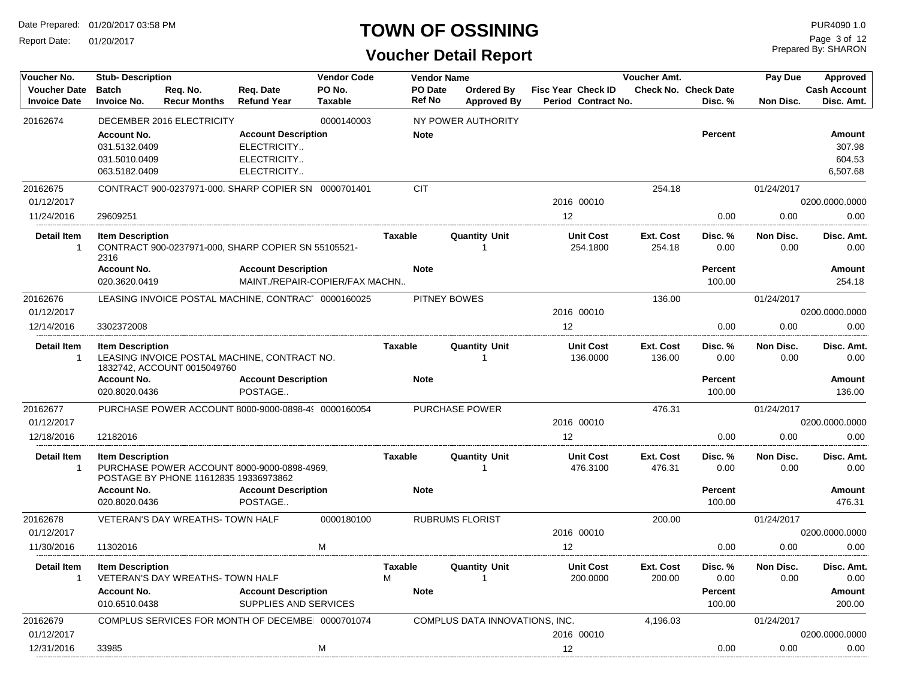Report Date: 01/20/2017

## **TOWN OF OSSINING** PURA090 1.0

Prepared By: SHARON Page 3 of 12

| Voucher No.                                | <b>Stub-Description</b>             |                                         |                                                              | <b>Vendor Code</b>       |                          | <b>Vendor Name</b>               |                                                  | Voucher Amt. |                                 | Pay Due    | Approved                          |
|--------------------------------------------|-------------------------------------|-----------------------------------------|--------------------------------------------------------------|--------------------------|--------------------------|----------------------------------|--------------------------------------------------|--------------|---------------------------------|------------|-----------------------------------|
| <b>Voucher Date</b><br><b>Invoice Date</b> | <b>Batch</b><br><b>Invoice No.</b>  | Reg. No.<br><b>Recur Months</b>         | Reg. Date<br><b>Refund Year</b>                              | PO No.<br><b>Taxable</b> | PO Date<br><b>Ref No</b> | Ordered By<br><b>Approved By</b> | <b>Fisc Year Check ID</b><br>Period Contract No. |              | Check No. Check Date<br>Disc. % | Non Disc.  | <b>Cash Account</b><br>Disc. Amt. |
|                                            |                                     |                                         |                                                              |                          |                          |                                  |                                                  |              |                                 |            |                                   |
| 20162674                                   |                                     | DECEMBER 2016 ELECTRICITY               |                                                              | 0000140003               |                          | NY POWER AUTHORITY               |                                                  |              |                                 |            |                                   |
|                                            | <b>Account No.</b><br>031.5132.0409 |                                         | <b>Account Description</b><br>ELECTRICITY                    |                          | <b>Note</b>              |                                  |                                                  |              | <b>Percent</b>                  |            | <b>Amount</b><br>307.98           |
|                                            | 031.5010.0409                       |                                         | ELECTRICITY                                                  |                          |                          |                                  |                                                  |              |                                 |            | 604.53                            |
|                                            | 063.5182.0409                       |                                         | ELECTRICITY                                                  |                          |                          |                                  |                                                  |              |                                 |            | 6,507.68                          |
| 20162675                                   |                                     |                                         | CONTRACT 900-0237971-000. SHARP COPIER SN 0000701401         |                          | <b>CIT</b>               |                                  |                                                  | 254.18       |                                 | 01/24/2017 |                                   |
| 01/12/2017                                 |                                     |                                         |                                                              |                          |                          |                                  | 2016 00010                                       |              |                                 |            | 0200.0000.0000                    |
| 11/24/2016                                 | 29609251                            |                                         |                                                              |                          |                          |                                  | 12                                               |              | 0.00                            | 0.00       | 0.00                              |
| <b>Detail Item</b>                         | <b>Item Description</b>             |                                         |                                                              |                          | <b>Taxable</b>           | <b>Quantity Unit</b>             | <b>Unit Cost</b>                                 | Ext. Cost    | Disc. %                         | Non Disc.  | Disc. Amt.                        |
| $\overline{1}$                             |                                     |                                         | CONTRACT 900-0237971-000, SHARP COPIER SN 55105521-          |                          |                          | 1                                | 254.1800                                         | 254.18       | 0.00                            | 0.00       | 0.00                              |
|                                            | 2316                                |                                         |                                                              |                          |                          |                                  |                                                  |              |                                 |            |                                   |
|                                            | <b>Account No.</b><br>020.3620.0419 |                                         | <b>Account Description</b><br>MAINT./REPAIR-COPIER/FAX MACHN |                          | <b>Note</b>              |                                  |                                                  |              | <b>Percent</b><br>100.00        |            | Amount<br>254.18                  |
| 20162676                                   |                                     |                                         | LEASING INVOICE POSTAL MACHINE, CONTRAC 0000160025           |                          |                          | PITNEY BOWES                     |                                                  | 136.00       |                                 | 01/24/2017 |                                   |
| 01/12/2017                                 |                                     |                                         |                                                              |                          |                          |                                  | 2016 00010                                       |              |                                 |            | 0200.0000.0000                    |
| 12/14/2016                                 | 3302372008                          |                                         |                                                              |                          |                          |                                  | 12                                               |              | 0.00                            | 0.00       | 0.00                              |
| <b>Detail Item</b>                         | <b>Item Description</b>             |                                         |                                                              |                          | <b>Taxable</b>           | <b>Quantity Unit</b>             | <b>Unit Cost</b>                                 | Ext. Cost    | Disc. %                         | Non Disc.  | Disc. Amt.                        |
| $\overline{1}$                             |                                     |                                         | LEASING INVOICE POSTAL MACHINE, CONTRACT NO.                 |                          |                          | -1                               | 136.0000                                         | 136.00       | 0.00                            | 0.00       | 0.00                              |
|                                            |                                     | 1832742, ACCOUNT 0015049760             |                                                              |                          |                          |                                  |                                                  |              |                                 |            |                                   |
|                                            | <b>Account No.</b><br>020.8020.0436 |                                         | <b>Account Description</b><br>POSTAGE                        |                          | <b>Note</b>              |                                  |                                                  |              | Percent<br>100.00               |            | Amount<br>136.00                  |
| 20162677                                   |                                     |                                         | PURCHASE POWER ACCOUNT 8000-9000-0898-4( 0000160054          |                          |                          | <b>PURCHASE POWER</b>            |                                                  | 476.31       |                                 | 01/24/2017 |                                   |
| 01/12/2017                                 |                                     |                                         |                                                              |                          |                          |                                  | 2016 00010                                       |              |                                 |            | 0200.0000.0000                    |
| 12/18/2016                                 | 12182016                            |                                         |                                                              |                          |                          |                                  | 12                                               |              | 0.00                            | 0.00       | 0.00                              |
| <b>Detail Item</b>                         | <b>Item Description</b>             |                                         |                                                              |                          | <b>Taxable</b>           | <b>Quantity Unit</b>             | <b>Unit Cost</b>                                 | Ext. Cost    | Disc. %                         | Non Disc.  | Disc. Amt.                        |
| $\overline{1}$                             |                                     |                                         | PURCHASE POWER ACCOUNT 8000-9000-0898-4969.                  |                          |                          | $\mathbf{1}$                     | 476.3100                                         | 476.31       | 0.00                            | 0.00       | 0.00                              |
|                                            | <b>Account No.</b>                  | POSTAGE BY PHONE 11612835 19336973862   | <b>Account Description</b>                                   |                          | <b>Note</b>              |                                  |                                                  |              | <b>Percent</b>                  |            | <b>Amount</b>                     |
|                                            | 020.8020.0436                       |                                         | POSTAGE                                                      |                          |                          |                                  |                                                  |              | 100.00                          |            | 476.31                            |
| 20162678                                   |                                     | <b>VETERAN'S DAY WREATHS- TOWN HALF</b> |                                                              | 0000180100               |                          | <b>RUBRUMS FLORIST</b>           |                                                  | 200.00       |                                 | 01/24/2017 |                                   |
| 01/12/2017                                 |                                     |                                         |                                                              |                          |                          |                                  | 2016 00010                                       |              |                                 |            | 0200.0000.0000                    |
| 11/30/2016                                 | 11302016                            |                                         |                                                              | M                        |                          |                                  | 12                                               |              | 0.00                            | 0.00       | 0.00                              |
| Detail Item                                | <b>Item Description</b>             |                                         |                                                              |                          | Taxable                  | <b>Quantity Unit</b>             | <b>Unit Cost</b>                                 | Ext. Cost    | Disc. %                         | Non Disc.  | Disc. Amt.                        |
| $\overline{1}$                             |                                     | <b>VETERAN'S DAY WREATHS- TOWN HALF</b> |                                                              |                          | M                        |                                  | 200.0000                                         | 200.00       | 0.00                            | 0.00       | 0.00                              |
|                                            | <b>Account No.</b>                  |                                         | <b>Account Description</b>                                   |                          | <b>Note</b>              |                                  |                                                  |              | <b>Percent</b>                  |            | Amount                            |
|                                            | 010.6510.0438                       |                                         | SUPPLIES AND SERVICES                                        |                          |                          |                                  |                                                  |              | 100.00                          |            | 200.00                            |
| 20162679                                   |                                     |                                         | COMPLUS SERVICES FOR MONTH OF DECEMBE 0000701074             |                          |                          | COMPLUS DATA INNOVATIONS, INC.   |                                                  | 4,196.03     |                                 | 01/24/2017 |                                   |
| 01/12/2017                                 |                                     |                                         |                                                              |                          |                          |                                  | 2016 00010                                       |              |                                 |            | 0200.0000.0000                    |
| 12/31/2016                                 | 33985                               |                                         |                                                              | м                        |                          |                                  | 12                                               |              | 0.00                            | 0.00       | 0.00                              |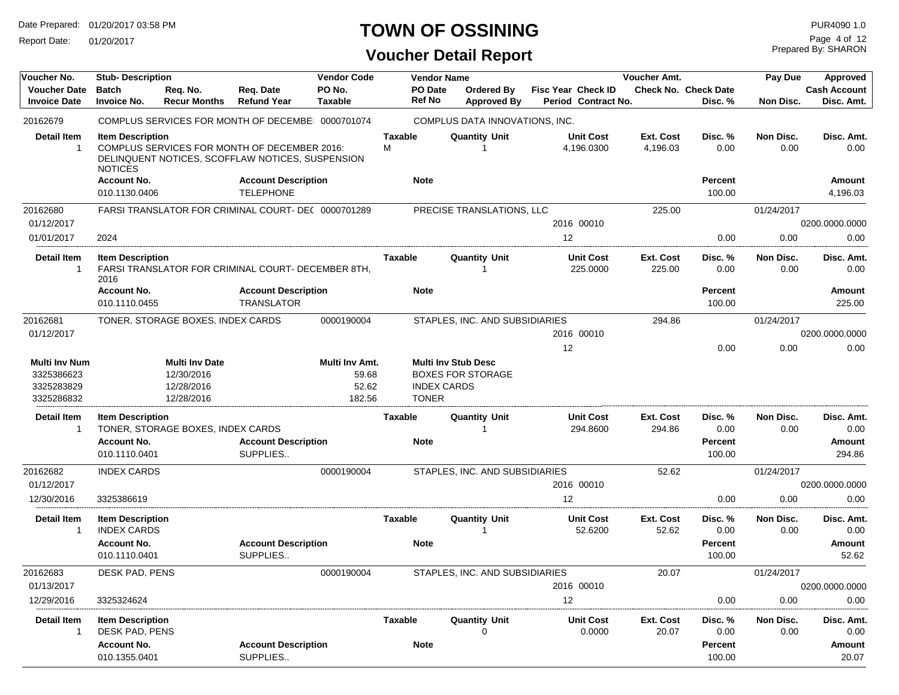Report Date: 01/20/2017

## **TOWN OF OSSINING**

**Voucher Detail Report**

Prepared By: SHARON Page 4 of 12

| Voucher No.          | <b>Stub-Description</b> |                                   |                                                     | <b>Vendor Code</b> |                | <b>Vendor Name</b> |                                |                           |                  | Voucher Amt. |                             | Pay Due    | Approved            |
|----------------------|-------------------------|-----------------------------------|-----------------------------------------------------|--------------------|----------------|--------------------|--------------------------------|---------------------------|------------------|--------------|-----------------------------|------------|---------------------|
| <b>Voucher Date</b>  | <b>Batch</b>            | Reg. No.                          | Reg. Date                                           | PO No.             |                | PO Date            | <b>Ordered By</b>              | <b>Fisc Year Check ID</b> |                  |              | <b>Check No. Check Date</b> |            | <b>Cash Account</b> |
| <b>Invoice Date</b>  | <b>Invoice No.</b>      | <b>Recur Months</b>               | <b>Refund Year</b>                                  | <b>Taxable</b>     |                | <b>Ref No</b>      | <b>Approved By</b>             | Period Contract No.       |                  |              | Disc. %                     | Non Disc.  | Disc. Amt.          |
| 20162679             |                         |                                   | COMPLUS SERVICES FOR MONTH OF DECEMBE 0000701074    |                    |                |                    | COMPLUS DATA INNOVATIONS, INC. |                           |                  |              |                             |            |                     |
| <b>Detail Item</b>   | <b>Item Description</b> |                                   |                                                     |                    | <b>Taxable</b> |                    | <b>Quantity Unit</b>           | <b>Unit Cost</b>          |                  | Ext. Cost    | Disc. %                     | Non Disc.  | Disc. Amt.          |
| $\mathbf{1}$         |                         |                                   | COMPLUS SERVICES FOR MONTH OF DECEMBER 2016:        |                    | м              |                    |                                | 4,196.0300                |                  | 4,196.03     | 0.00                        | 0.00       | 0.00                |
|                      |                         |                                   | DELINQUENT NOTICES, SCOFFLAW NOTICES, SUSPENSION    |                    |                |                    |                                |                           |                  |              |                             |            |                     |
|                      | <b>NOTICES</b>          |                                   |                                                     |                    |                |                    |                                |                           |                  |              |                             |            |                     |
|                      | <b>Account No.</b>      |                                   | <b>Account Description</b>                          |                    |                | <b>Note</b>        |                                |                           |                  |              | <b>Percent</b>              |            | <b>Amount</b>       |
|                      | 010.1130.0406           |                                   | <b>TELEPHONE</b>                                    |                    |                |                    |                                |                           |                  |              | 100.00                      |            | 4,196.03            |
| 20162680             |                         |                                   | FARSI TRANSLATOR FOR CRIMINAL COURT- DE( 0000701289 |                    |                |                    | PRECISE TRANSLATIONS, LLC      |                           |                  | 225.00       |                             | 01/24/2017 |                     |
| 01/12/2017           |                         |                                   |                                                     |                    |                |                    |                                | 2016 00010                |                  |              |                             |            | 0200.0000.0000      |
| 01/01/2017           | 2024                    |                                   |                                                     |                    |                |                    |                                | 12                        |                  |              | 0.00                        | 0.00       | 0.00                |
| <b>Detail Item</b>   | <b>Item Description</b> |                                   |                                                     |                    | <b>Taxable</b> |                    | <b>Quantity Unit</b>           |                           | <b>Unit Cost</b> | Ext. Cost    | Disc.%                      | Non Disc.  | Disc. Amt.          |
| -1                   | 2016                    |                                   | FARSI TRANSLATOR FOR CRIMINAL COURT- DECEMBER 8TH,  |                    |                |                    |                                |                           | 225.0000         | 225.00       | 0.00                        | 0.00       | 0.00                |
|                      | <b>Account No.</b>      |                                   | <b>Account Description</b>                          |                    |                | <b>Note</b>        |                                |                           |                  |              | <b>Percent</b>              |            | <b>Amount</b>       |
|                      | 010.1110.0455           |                                   | <b>TRANSLATOR</b>                                   |                    |                |                    |                                |                           |                  |              | 100.00                      |            | 225.00              |
| 20162681             |                         | TONER, STORAGE BOXES, INDEX CARDS |                                                     | 0000190004         |                |                    | STAPLES, INC. AND SUBSIDIARIES |                           |                  | 294.86       |                             | 01/24/2017 |                     |
| 01/12/2017           |                         |                                   |                                                     |                    |                |                    |                                | 2016 00010                |                  |              |                             |            | 0200.0000.0000      |
|                      |                         |                                   |                                                     |                    |                |                    |                                | 12                        |                  |              | 0.00                        | 0.00       | 0.00                |
| <b>Multi Inv Num</b> |                         | <b>Multi Inv Date</b>             |                                                     | Multi Inv Amt.     |                |                    | <b>Multi Inv Stub Desc</b>     |                           |                  |              |                             |            |                     |
| 3325386623           |                         | 12/30/2016                        |                                                     | 59.68              |                |                    | <b>BOXES FOR STORAGE</b>       |                           |                  |              |                             |            |                     |
| 3325283829           |                         | 12/28/2016                        |                                                     | 52.62              |                | <b>INDEX CARDS</b> |                                |                           |                  |              |                             |            |                     |
| 3325286832           |                         | 12/28/2016                        |                                                     | 182.56             |                | <b>TONER</b>       |                                |                           |                  |              |                             |            |                     |
| <b>Detail Item</b>   | <b>Item Description</b> |                                   |                                                     |                    | Taxable        |                    | <b>Quantity Unit</b>           |                           | Unit Cost        | Ext. Cost    | Disc. %                     | Non Disc.  | Disc. Amt.          |
| -1                   |                         | TONER, STORAGE BOXES, INDEX CARDS |                                                     |                    |                |                    |                                |                           | 294.8600         | 294.86       | 0.00                        | 0.00       | 0.00                |
|                      | <b>Account No.</b>      |                                   | <b>Account Description</b>                          |                    |                | <b>Note</b>        |                                |                           |                  |              | Percent                     |            | <b>Amount</b>       |
|                      | 010.1110.0401           |                                   | SUPPLIES                                            |                    |                |                    |                                |                           |                  |              | 100.00                      |            | 294.86              |
| 20162682             | <b>INDEX CARDS</b>      |                                   |                                                     | 0000190004         |                |                    | STAPLES, INC. AND SUBSIDIARIES |                           |                  | 52.62        |                             | 01/24/2017 |                     |
| 01/12/2017           |                         |                                   |                                                     |                    |                |                    |                                | 2016 00010                |                  |              |                             |            | 0200.0000.0000      |
| 12/30/2016           | 3325386619              |                                   |                                                     |                    |                |                    |                                | 12                        |                  |              | 0.00                        | 0.00       | 0.00                |
|                      |                         |                                   |                                                     |                    |                |                    |                                |                           |                  |              |                             |            |                     |
| <b>Detail Item</b>   | <b>Item Description</b> |                                   |                                                     |                    | Taxable        |                    | <b>Quantity Unit</b>           |                           | <b>Unit Cost</b> | Ext. Cost    | Disc. %                     | Non Disc.  | Disc. Amt.          |
| 1                    | <b>INDEX CARDS</b>      |                                   |                                                     |                    |                |                    |                                |                           | 52.6200          | 52.62        | 0.00                        | 0.00       | 0.00                |
|                      | <b>Account No.</b>      |                                   | <b>Account Description</b>                          |                    |                | <b>Note</b>        |                                |                           |                  |              | <b>Percent</b>              |            | <b>Amount</b>       |
|                      | 010.1110.0401           |                                   | SUPPLIES                                            |                    |                |                    |                                |                           |                  |              | 100.00                      |            | 52.62               |
| 20162683             | DESK PAD, PENS          |                                   |                                                     | 0000190004         |                |                    | STAPLES, INC. AND SUBSIDIARIES |                           |                  | 20.07        |                             | 01/24/2017 |                     |
| 01/13/2017           |                         |                                   |                                                     |                    |                |                    |                                | 2016 00010                |                  |              |                             |            | 0200.0000.0000      |
| 12/29/2016           | 3325324624              |                                   |                                                     |                    |                |                    |                                | 12                        |                  |              | 0.00                        | 0.00       | 0.00                |
| <b>Detail Item</b>   | <b>Item Description</b> |                                   |                                                     |                    | Taxable        |                    | <b>Quantity Unit</b>           | <b>Unit Cost</b>          |                  | Ext. Cost    | Disc. %                     | Non Disc.  | Disc. Amt.          |
| 1                    | DESK PAD, PENS          |                                   |                                                     |                    |                |                    |                                |                           | 0.0000           | 20.07        | 0.00                        | 0.00       | 0.00                |
|                      | <b>Account No.</b>      |                                   | <b>Account Description</b>                          |                    |                | <b>Note</b>        |                                |                           |                  |              | Percent                     |            | Amount              |
|                      | 010.1355.0401           |                                   | SUPPLIES                                            |                    |                |                    |                                |                           |                  |              | 100.00                      |            | 20.07               |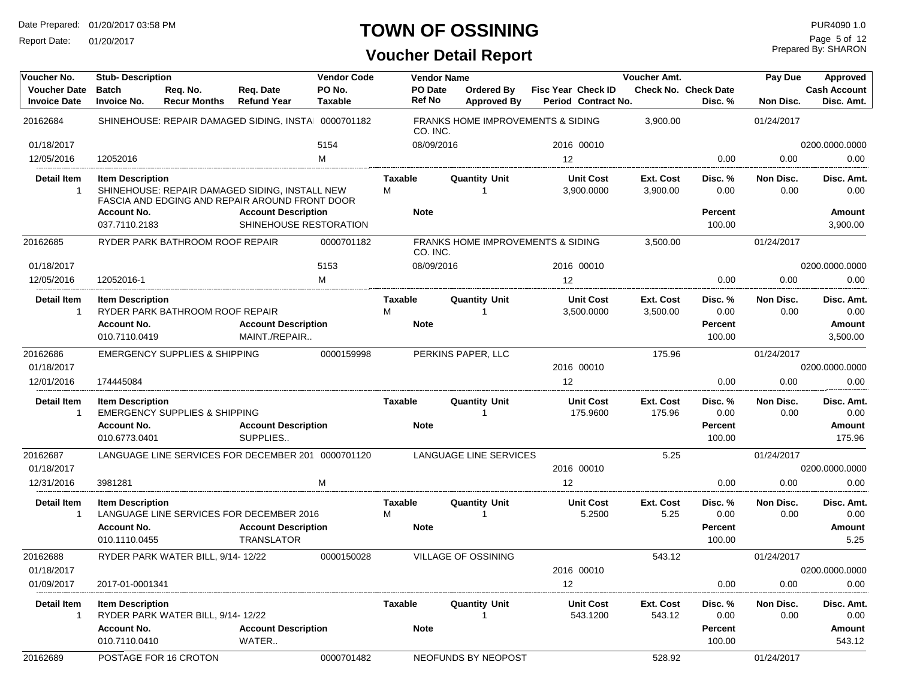Report Date: 01/20/2017

## **TOWN OF OSSINING**

| Voucher No.                                | <b>Stub-Description</b>                                        |                                          |                                                                                                  | <b>Vendor Code</b> |                             | <b>Vendor Name</b>                                       |                           |                                | Voucher Amt.          |                                             | Pay Due           | Approved                                    |
|--------------------------------------------|----------------------------------------------------------------|------------------------------------------|--------------------------------------------------------------------------------------------------|--------------------|-----------------------------|----------------------------------------------------------|---------------------------|--------------------------------|-----------------------|---------------------------------------------|-------------------|---------------------------------------------|
| <b>Voucher Date</b><br><b>Invoice Date</b> | <b>Batch</b><br><b>Invoice No.</b>                             | Req. No.<br><b>Recur Months</b>          | Req. Date<br><b>Refund Year</b>                                                                  | PO No.<br>Taxable  | PO Date<br><b>Ref No</b>    | Ordered By<br><b>Approved By</b>                         | <b>Fisc Year Check ID</b> | Period Contract No.            |                       | <b>Check No. Check Date</b><br>Disc. %      | Non Disc.         | <b>Cash Account</b><br>Disc. Amt.           |
| 20162684                                   |                                                                |                                          | SHINEHOUSE: REPAIR DAMAGED SIDING, INSTA 0000701182                                              |                    |                             | <b>FRANKS HOME IMPROVEMENTS &amp; SIDING</b><br>CO. INC. |                           |                                | 3,900.00              |                                             | 01/24/2017        |                                             |
| 01/18/2017                                 |                                                                |                                          |                                                                                                  | 5154               |                             | 08/09/2016                                               |                           | 2016 00010                     |                       |                                             |                   | 0200.0000.0000                              |
| 12/05/2016                                 | 12052016                                                       |                                          |                                                                                                  | м                  |                             |                                                          | 12                        |                                |                       | 0.00                                        | 0.00              | 0.00                                        |
| <b>Detail Item</b><br>$\mathbf 1$          | <b>Item Description</b>                                        |                                          | SHINEHOUSE: REPAIR DAMAGED SIDING, INSTALL NEW<br>FASCIA AND EDGING AND REPAIR AROUND FRONT DOOR |                    | Taxable<br>м                | <b>Quantity Unit</b><br>-1                               |                           | <b>Unit Cost</b><br>3.900.0000 | Ext. Cost<br>3,900.00 | Disc. %<br>0.00                             | Non Disc.<br>0.00 | Disc. Amt.<br>0.00                          |
|                                            | <b>Account No.</b>                                             |                                          | <b>Account Description</b>                                                                       |                    | <b>Note</b>                 |                                                          |                           |                                |                       | <b>Percent</b>                              |                   | <b>Amount</b>                               |
|                                            | 037.7110.2183                                                  |                                          | SHINEHOUSE RESTORATION                                                                           |                    |                             |                                                          |                           |                                |                       | 100.00                                      |                   | 3,900.00                                    |
| 20162685                                   |                                                                | RYDER PARK BATHROOM ROOF REPAIR          |                                                                                                  | 0000701182         |                             | FRANKS HOME IMPROVEMENTS & SIDING<br>CO. INC.            |                           |                                | 3,500.00              |                                             | 01/24/2017        |                                             |
| 01/18/2017                                 |                                                                |                                          |                                                                                                  | 5153               |                             | 08/09/2016                                               |                           | 2016 00010                     |                       |                                             |                   | 0200.0000.0000                              |
| 12/05/2016                                 | 12052016-1                                                     |                                          |                                                                                                  | M                  |                             |                                                          | 12                        |                                |                       | 0.00                                        | 0.00              | 0.00                                        |
| <b>Detail Item</b><br>$\mathbf{1}$         | <b>Item Description</b><br><b>Account No.</b>                  | RYDER PARK BATHROOM ROOF REPAIR          | <b>Account Description</b>                                                                       |                    | Taxable<br>M<br><b>Note</b> | <b>Quantity Unit</b><br>-1                               |                           | <b>Unit Cost</b><br>3,500.0000 | Ext. Cost<br>3,500.00 | Disc. %<br>0.00<br><b>Percent</b>           | Non Disc.<br>0.00 | Disc. Amt.<br>0.00<br><b>Amount</b>         |
|                                            | 010.7110.0419                                                  |                                          | MAINT./REPAIR                                                                                    |                    |                             |                                                          |                           |                                |                       | 100.00                                      |                   | 3,500.00                                    |
| 20162686                                   |                                                                | <b>EMERGENCY SUPPLIES &amp; SHIPPING</b> |                                                                                                  | 0000159998         |                             | PERKINS PAPER, LLC                                       |                           |                                | 175.96                |                                             | 01/24/2017        |                                             |
| 01/18/2017                                 |                                                                |                                          |                                                                                                  |                    |                             |                                                          |                           | 2016 00010                     |                       |                                             |                   | 0200.0000.0000                              |
| 12/01/2016                                 | 174445084                                                      |                                          |                                                                                                  |                    |                             |                                                          | 12                        |                                |                       | 0.00                                        | 0.00              | 0.00                                        |
| <b>Detail Item</b><br>$\mathbf 1$          | <b>Item Description</b>                                        | <b>EMERGENCY SUPPLIES &amp; SHIPPING</b> |                                                                                                  |                    | Taxable                     | <b>Quantity Unit</b><br>-1                               |                           | <b>Unit Cost</b><br>175.9600   | Ext. Cost<br>175.96   | Disc. %<br>0.00                             | Non Disc.<br>0.00 | Disc. Amt.<br>0.00                          |
|                                            | <b>Account No.</b><br>010.6773.0401                            |                                          | <b>Account Description</b><br>SUPPLIES                                                           |                    | <b>Note</b>                 |                                                          |                           |                                |                       | <b>Percent</b><br>100.00                    |                   | Amount<br>175.96                            |
| 20162687                                   |                                                                |                                          | LANGUAGE LINE SERVICES FOR DECEMBER 201 0000701120                                               |                    |                             | LANGUAGE LINE SERVICES                                   |                           |                                | 5.25                  |                                             | 01/24/2017        |                                             |
| 01/18/2017                                 |                                                                |                                          |                                                                                                  |                    |                             |                                                          |                           | 2016 00010                     |                       |                                             |                   | 0200.0000.0000                              |
| 12/31/2016                                 | 3981281                                                        |                                          |                                                                                                  | M                  |                             |                                                          | 12                        |                                |                       | 0.00                                        | 0.00              | 0.00                                        |
| <b>Detail Item</b><br>$\mathbf 1$          | <b>Item Description</b><br><b>Account No.</b><br>010.1110.0455 |                                          | LANGUAGE LINE SERVICES FOR DECEMBER 2016<br><b>Account Description</b><br>TRANSLATOR             |                    | Taxable<br>м<br><b>Note</b> | <b>Quantity Unit</b><br>-1                               |                           | <b>Unit Cost</b><br>5.2500     | Ext. Cost<br>5.25     | Disc. %<br>0.00<br><b>Percent</b><br>100.00 | Non Disc.<br>0.00 | Disc. Amt.<br>0.00<br><b>Amount</b><br>5.25 |
| 20162688                                   |                                                                | RYDER PARK WATER BILL, 9/14-12/22        |                                                                                                  | 0000150028         |                             | VILLAGE OF OSSINING                                      |                           |                                | 543.12                |                                             | 01/24/2017        |                                             |
| 01/18/2017                                 |                                                                |                                          |                                                                                                  |                    |                             |                                                          |                           | 2016 00010                     |                       |                                             |                   | 0200.0000.0000                              |
| 01/09/2017                                 | 2017-01-0001341                                                |                                          |                                                                                                  |                    |                             |                                                          | 12                        |                                |                       | 0.00                                        | 0.00              | 0.00                                        |
| Detail Item<br>$\overline{1}$              | <b>Item Description</b><br><b>Account No.</b>                  | RYDER PARK WATER BILL, 9/14-12/22        | <b>Account Description</b>                                                                       |                    | Taxable<br><b>Note</b>      | Quantity Unit                                            |                           | <b>Unit Cost</b><br>543.1200   | Ext. Cost<br>543.12   | Disc. %<br>0.00<br><b>Percent</b>           | Non Disc.<br>0.00 | Disc. Amt.<br>0.00<br>Amount                |
|                                            | 010.7110.0410                                                  |                                          | WATER                                                                                            |                    |                             |                                                          |                           |                                |                       | 100.00                                      |                   | 543.12                                      |
| 20162689                                   |                                                                | POSTAGE FOR 16 CROTON                    |                                                                                                  | 0000701482         |                             | NEOFUNDS BY NEOPOST                                      |                           |                                | 528.92                |                                             | 01/24/2017        |                                             |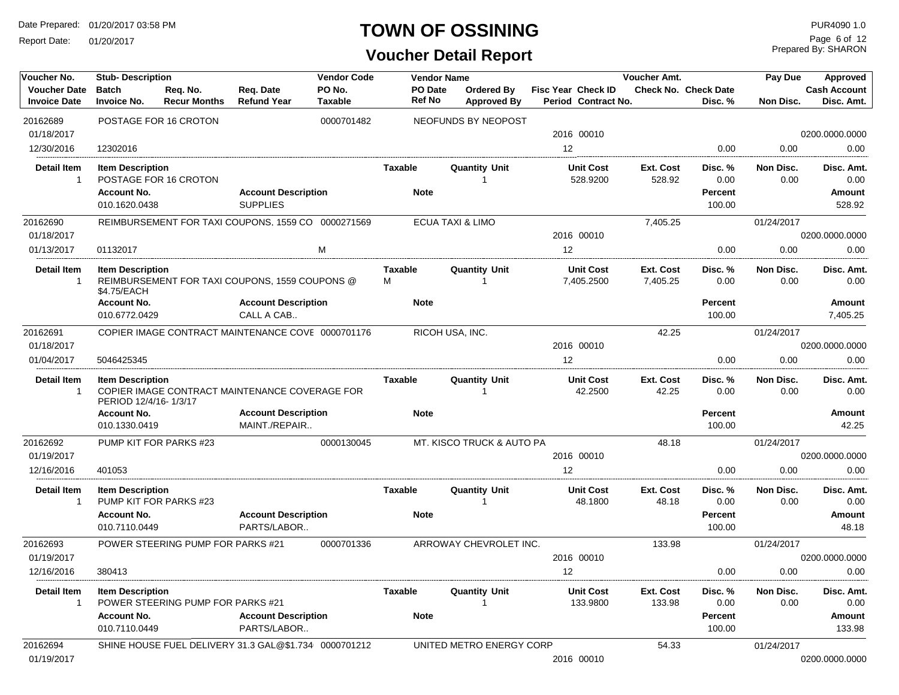Report Date: 01/20/2017

#### **TOWN OF OSSINING** PURA090 1.0

**Voucher Detail Report**

Prepared By: SHARON Page 6 of 12

| Voucher No.                        | <b>Stub-Description</b>                          |                                                       |                            | <b>Vendor Code</b> | <b>Vendor Name</b>  |                             |                                | <b>Voucher Amt.</b>   |                             | Pay Due           | Approved            |
|------------------------------------|--------------------------------------------------|-------------------------------------------------------|----------------------------|--------------------|---------------------|-----------------------------|--------------------------------|-----------------------|-----------------------------|-------------------|---------------------|
| <b>Voucher Date</b>                | <b>Batch</b>                                     | Req. No.                                              | Req. Date                  | PO No.             | PO Date             | Ordered Bv                  | <b>Fisc Year Check ID</b>      |                       | <b>Check No. Check Date</b> |                   | <b>Cash Account</b> |
| <b>Invoice Date</b>                | <b>Invoice No.</b>                               | <b>Recur Months</b>                                   | <b>Refund Year</b>         | Taxable            | Ref No              | <b>Approved By</b>          | Period Contract No.            |                       | Disc. %                     | Non Disc.         | Disc. Amt.          |
| 20162689                           |                                                  | POSTAGE FOR 16 CROTON                                 |                            | 0000701482         |                     | NEOFUNDS BY NEOPOST         |                                |                       |                             |                   |                     |
| 01/18/2017                         |                                                  |                                                       |                            |                    |                     |                             | 2016 00010                     |                       |                             |                   | 0200.0000.0000      |
| 12/30/2016                         | 12302016                                         |                                                       |                            |                    |                     |                             | 12                             |                       | 0.00                        | 0.00              | 0.00                |
| <b>Detail Item</b><br>1            | <b>Item Description</b>                          | POSTAGE FOR 16 CROTON                                 |                            |                    | <b>Taxable</b>      | <b>Quantity Unit</b>        | <b>Unit Cost</b><br>528.9200   | Ext. Cost<br>528.92   | Disc. %<br>0.00             | Non Disc.<br>0.00 | Disc. Amt.<br>0.00  |
|                                    | <b>Account No.</b>                               |                                                       | <b>Account Description</b> |                    | <b>Note</b>         |                             |                                |                       | <b>Percent</b>              |                   | Amount              |
|                                    | 010.1620.0438                                    |                                                       | <b>SUPPLIES</b>            |                    |                     |                             |                                |                       | 100.00                      |                   | 528.92              |
| 20162690                           |                                                  | REIMBURSEMENT FOR TAXI COUPONS, 1559 CO 0000271569    |                            |                    |                     | <b>ECUA TAXI &amp; LIMO</b> |                                | 7,405.25              |                             | 01/24/2017        |                     |
| 01/18/2017                         |                                                  |                                                       |                            |                    |                     |                             | 2016 00010                     |                       |                             |                   | 0200.0000.0000      |
| 01/13/2017                         | 01132017                                         |                                                       |                            | м                  |                     |                             | 12                             |                       | 0.00                        | 0.00              | 0.00                |
| Detail Item<br>$\mathbf{1}$        | <b>Item Description</b><br>\$4.75/EACH           | REIMBURSEMENT FOR TAXI COUPONS, 1559 COUPONS @        |                            |                    | <b>Taxable</b><br>M | <b>Quantity Unit</b><br>1   | <b>Unit Cost</b><br>7,405.2500 | Ext. Cost<br>7,405.25 | Disc. %<br>0.00             | Non Disc.<br>0.00 | Disc. Amt.<br>0.00  |
|                                    | <b>Account No.</b>                               |                                                       | <b>Account Description</b> |                    | <b>Note</b>         |                             |                                |                       | Percent                     |                   | Amount              |
|                                    | 010.6772.0429                                    |                                                       | CALL A CAB                 |                    |                     |                             |                                |                       | 100.00                      |                   | 7,405.25            |
| 20162691                           |                                                  | COPIER IMAGE CONTRACT MAINTENANCE COVE 0000701176     |                            |                    |                     | RICOH USA, INC.             |                                | 42.25                 |                             | 01/24/2017        |                     |
| 01/18/2017                         |                                                  |                                                       |                            |                    |                     |                             | 2016 00010                     |                       |                             |                   | 0200.0000.0000      |
| 01/04/2017                         | 5046425345                                       |                                                       |                            |                    |                     |                             | 12                             |                       | 0.00                        | 0.00              | 0.00                |
| <b>Detail Item</b><br>$\mathbf{1}$ | <b>Item Description</b><br>PERIOD 12/4/16-1/3/17 | COPIER IMAGE CONTRACT MAINTENANCE COVERAGE FOR        |                            |                    | <b>Taxable</b>      | <b>Quantity Unit</b>        | <b>Unit Cost</b><br>42.2500    | Ext. Cost<br>42.25    | Disc. %<br>0.00             | Non Disc.<br>0.00 | Disc. Amt.<br>0.00  |
|                                    | <b>Account No.</b>                               |                                                       | <b>Account Description</b> |                    | <b>Note</b>         |                             |                                |                       | <b>Percent</b>              |                   | Amount              |
|                                    | 010.1330.0419                                    |                                                       | MAINT./REPAIR              |                    |                     |                             |                                |                       | 100.00                      |                   | 42.25               |
| 20162692                           |                                                  | PUMP KIT FOR PARKS #23                                |                            | 0000130045         |                     | MT. KISCO TRUCK & AUTO PA   |                                | 48.18                 |                             | 01/24/2017        |                     |
| 01/19/2017                         |                                                  |                                                       |                            |                    |                     |                             | 2016 00010                     |                       |                             |                   | 0200.0000.0000      |
| 12/16/2016                         | 401053                                           |                                                       |                            |                    |                     |                             | 12                             |                       | 0.00                        | 0.00              | 0.00                |
| <b>Detail Item</b><br>-1           | <b>Item Description</b>                          | PUMP KIT FOR PARKS #23                                |                            |                    | <b>Taxable</b>      | <b>Quantity Unit</b>        | <b>Unit Cost</b><br>48.1800    | Ext. Cost<br>48.18    | Disc. %<br>0.00             | Non Disc.<br>0.00 | Disc. Amt.<br>0.00  |
|                                    | <b>Account No.</b>                               |                                                       | <b>Account Description</b> |                    | <b>Note</b>         |                             |                                |                       | Percent                     |                   | Amount              |
|                                    | 010.7110.0449                                    |                                                       | PARTS/LABOR                |                    |                     |                             |                                |                       | 100.00                      |                   | 48.18               |
| 20162693                           |                                                  | POWER STEERING PUMP FOR PARKS #21                     |                            | 0000701336         |                     | ARROWAY CHEVROLET INC.      |                                | 133.98                |                             | 01/24/2017        |                     |
| 01/19/2017                         |                                                  |                                                       |                            |                    |                     |                             | 2016 00010                     |                       |                             |                   | 0200.0000.0000      |
| 12/16/2016                         | 380413                                           |                                                       |                            |                    |                     |                             | 12                             |                       | 0.00                        | 0.00              | 0.00                |
| <b>Detail Item</b><br>1            | <b>Item Description</b>                          | POWER STEERING PUMP FOR PARKS #21                     |                            |                    | <b>Taxable</b>      | <b>Quantity Unit</b>        | <b>Unit Cost</b><br>133.9800   | Ext. Cost<br>133.98   | Disc. %<br>0.00             | Non Disc.<br>0.00 | Disc. Amt.<br>0.00  |
|                                    | <b>Account No.</b>                               |                                                       | <b>Account Description</b> |                    | <b>Note</b>         |                             |                                |                       | Percent                     |                   | Amount              |
|                                    | 010.7110.0449                                    |                                                       | PARTS/LABOR                |                    |                     |                             |                                |                       | 100.00                      |                   | 133.98              |
| 20162694                           |                                                  | SHINE HOUSE FUEL DELIVERY 31.3 GAL@\$1.734 0000701212 |                            |                    |                     | UNITED METRO ENERGY CORP    |                                | 54.33                 |                             | 01/24/2017        |                     |
| 01/19/2017                         |                                                  |                                                       |                            |                    |                     |                             | 2016 00010                     |                       |                             |                   | 0200.0000.0000      |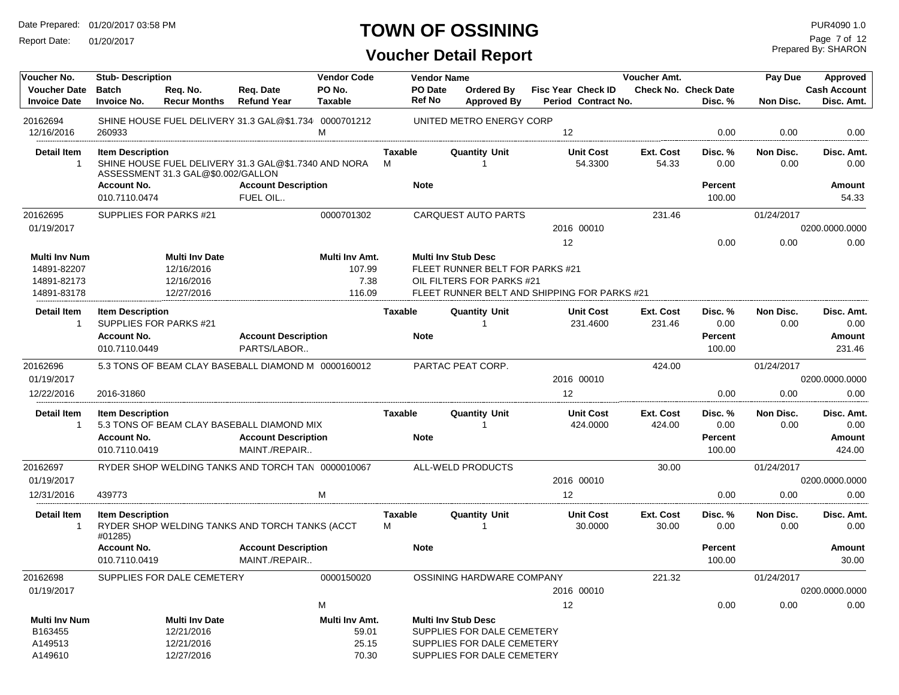Report Date: 01/20/2017

### **TOWN OF OSSINING** PURA090 1.0

| Voucher No.                                | <b>Stub-Description</b>                           |                                    |                                                       | <b>Vendor Code</b>       |                     | <b>Vendor Name</b>              |                                         |                                                  | Voucher Amt.              |                                        | Pay Due           | Approved                          |
|--------------------------------------------|---------------------------------------------------|------------------------------------|-------------------------------------------------------|--------------------------|---------------------|---------------------------------|-----------------------------------------|--------------------------------------------------|---------------------------|----------------------------------------|-------------------|-----------------------------------|
| <b>Voucher Date</b><br><b>Invoice Date</b> | <b>Batch</b><br><b>Invoice No.</b>                | Req. No.<br><b>Recur Months</b>    | Req. Date<br><b>Refund Year</b>                       | PO No.<br><b>Taxable</b> |                     | <b>PO</b> Date<br><b>Ref No</b> | <b>Ordered By</b><br><b>Approved By</b> | <b>Fisc Year Check ID</b><br>Period Contract No. |                           | <b>Check No. Check Date</b><br>Disc. % | <b>Non Disc.</b>  | <b>Cash Account</b><br>Disc. Amt. |
| 20162694<br>12/16/2016                     | 260933                                            |                                    | SHINE HOUSE FUEL DELIVERY 31.3 GAL@\$1.734 0000701212 | M                        |                     |                                 | UNITED METRO ENERGY CORP                | 12                                               |                           | 0.00                                   | 0.00              | 0.00                              |
| <b>Detail Item</b><br>$\overline{1}$       | <b>Item Description</b>                           |                                    | SHINE HOUSE FUEL DELIVERY 31.3 GAL@\$1.7340 AND NORA  |                          | <b>Taxable</b><br>м |                                 | <b>Quantity Unit</b><br>$\mathbf{1}$    | <b>Unit Cost</b><br>54.3300                      | <b>Ext. Cost</b><br>54.33 | Disc. %<br>0.00                        | Non Disc.<br>0.00 | Disc. Amt.<br>0.00                |
|                                            | <b>Account No.</b>                                | ASSESSMENT 31.3 GAL@\$0.002/GALLON | <b>Account Description</b>                            |                          |                     | <b>Note</b>                     |                                         |                                                  |                           | <b>Percent</b>                         |                   | Amount                            |
|                                            | 010.7110.0474                                     |                                    | FUEL OIL                                              |                          |                     |                                 |                                         |                                                  |                           | 100.00                                 |                   | 54.33                             |
| 20162695                                   | SUPPLIES FOR PARKS #21                            |                                    |                                                       | 0000701302               |                     |                                 | <b>CARQUEST AUTO PARTS</b>              |                                                  | 231.46                    |                                        | 01/24/2017        |                                   |
| 01/19/2017                                 |                                                   |                                    |                                                       |                          |                     |                                 |                                         | 2016 00010                                       |                           |                                        |                   | 0200.0000.0000                    |
|                                            |                                                   |                                    |                                                       |                          |                     |                                 |                                         | 12                                               |                           | 0.00                                   | 0.00              | 0.00                              |
| <b>Multi Inv Num</b>                       |                                                   | <b>Multi Inv Date</b>              |                                                       | Multi Inv Amt.           |                     |                                 | <b>Multi Inv Stub Desc</b>              |                                                  |                           |                                        |                   |                                   |
| 14891-82207                                |                                                   | 12/16/2016                         |                                                       | 107.99                   |                     |                                 | FLEET RUNNER BELT FOR PARKS #21         |                                                  |                           |                                        |                   |                                   |
| 14891-82173<br>14891-83178                 |                                                   | 12/16/2016<br>12/27/2016           |                                                       | 7.38<br>116.09           |                     |                                 | OIL FILTERS FOR PARKS #21               | FLEET RUNNER BELT AND SHIPPING FOR PARKS #21     |                           |                                        |                   |                                   |
|                                            |                                                   |                                    |                                                       |                          |                     |                                 |                                         |                                                  |                           |                                        |                   |                                   |
| <b>Detail Item</b><br>$\mathbf{1}$         | <b>Item Description</b><br>SUPPLIES FOR PARKS #21 |                                    |                                                       |                          | Taxable             |                                 | <b>Quantity Unit</b><br>$\mathbf{1}$    | <b>Unit Cost</b><br>231.4600                     | Ext. Cost<br>231.46       | Disc. %<br>0.00                        | Non Disc.<br>0.00 | Disc. Amt.<br>0.00                |
|                                            | <b>Account No.</b>                                |                                    | <b>Account Description</b>                            |                          |                     | <b>Note</b>                     |                                         |                                                  |                           | <b>Percent</b>                         |                   | Amount                            |
|                                            | 010.7110.0449                                     |                                    | PARTS/LABOR                                           |                          |                     |                                 |                                         |                                                  |                           | 100.00                                 |                   | 231.46                            |
| 20162696                                   |                                                   |                                    | 5.3 TONS OF BEAM CLAY BASEBALL DIAMOND M 0000160012   |                          |                     |                                 | PARTAC PEAT CORP.                       |                                                  | 424.00                    |                                        | 01/24/2017        |                                   |
| 01/19/2017                                 |                                                   |                                    |                                                       |                          |                     |                                 |                                         | 2016 00010                                       |                           |                                        |                   | 0200.0000.0000                    |
| 12/22/2016                                 | 2016-31860                                        |                                    |                                                       |                          |                     |                                 |                                         | 12                                               |                           | 0.00                                   | 0.00              | 0.00                              |
|                                            |                                                   |                                    |                                                       |                          |                     |                                 |                                         |                                                  |                           |                                        |                   |                                   |
| <b>Detail Item</b><br>$\overline{1}$       | <b>Item Description</b>                           |                                    | 5.3 TONS OF BEAM CLAY BASEBALL DIAMOND MIX            |                          | <b>Taxable</b>      |                                 | <b>Quantity Unit</b><br>$\overline{1}$  | <b>Unit Cost</b><br>424.0000                     | Ext. Cost<br>424.00       | Disc.%<br>0.00                         | Non Disc.<br>0.00 | Disc. Amt.<br>0.00                |
|                                            | <b>Account No.</b>                                |                                    | <b>Account Description</b>                            |                          |                     | <b>Note</b>                     |                                         |                                                  |                           | <b>Percent</b>                         |                   | Amount                            |
|                                            | 010.7110.0419                                     |                                    | MAINT./REPAIR                                         |                          |                     |                                 |                                         |                                                  |                           | 100.00                                 |                   | 424.00                            |
| 20162697                                   |                                                   |                                    | RYDER SHOP WELDING TANKS AND TORCH TAN 0000010067     |                          |                     |                                 | ALL-WELD PRODUCTS                       |                                                  | 30.00                     |                                        | 01/24/2017        |                                   |
| 01/19/2017                                 |                                                   |                                    |                                                       |                          |                     |                                 |                                         | 2016 00010                                       |                           |                                        |                   | 0200.0000.0000                    |
| 12/31/2016                                 | 439773                                            |                                    |                                                       | м                        |                     |                                 |                                         | 12                                               |                           | 0.00                                   | 0.00              | 0.00                              |
| <b>Detail Item</b><br>$\overline{1}$       | <b>Item Description</b>                           |                                    | RYDER SHOP WELDING TANKS AND TORCH TANKS (ACCT        |                          | Taxable<br>м        |                                 | <b>Quantity Unit</b>                    | <b>Unit Cost</b><br>30.0000                      | Ext. Cost<br>30.00        | Disc. %<br>0.00                        | Non Disc.<br>0.00 | Disc. Amt.<br>0.00                |
|                                            | #01285)<br><b>Account No.</b>                     |                                    | <b>Account Description</b>                            |                          |                     | <b>Note</b>                     |                                         |                                                  |                           | <b>Percent</b>                         |                   | Amount                            |
|                                            | 010.7110.0419                                     |                                    | MAINT./REPAIR                                         |                          |                     |                                 |                                         |                                                  |                           | 100.00                                 |                   | 30.00                             |
| 20162698                                   |                                                   | SUPPLIES FOR DALE CEMETERY         |                                                       | 0000150020               |                     |                                 | OSSINING HARDWARE COMPANY               |                                                  | 221.32                    |                                        | 01/24/2017        |                                   |
| 01/19/2017                                 |                                                   |                                    |                                                       |                          |                     |                                 |                                         | 2016 00010                                       |                           |                                        |                   | 0200.0000.0000                    |
|                                            |                                                   |                                    |                                                       | M                        |                     |                                 |                                         | 12                                               |                           | 0.00                                   | 0.00              | 0.00                              |
| <b>Multi Inv Num</b>                       |                                                   | <b>Multi Inv Date</b>              |                                                       | Multi Inv Amt.           |                     |                                 | <b>Multi Inv Stub Desc</b>              |                                                  |                           |                                        |                   |                                   |
| B163455                                    |                                                   | 12/21/2016                         |                                                       | 59.01                    |                     |                                 | SUPPLIES FOR DALE CEMETERY              |                                                  |                           |                                        |                   |                                   |
| A149513                                    |                                                   | 12/21/2016                         |                                                       | 25.15                    |                     |                                 | SUPPLIES FOR DALE CEMETERY              |                                                  |                           |                                        |                   |                                   |
| A149610                                    |                                                   | 12/27/2016                         |                                                       | 70.30                    |                     |                                 | SUPPLIES FOR DALE CEMETERY              |                                                  |                           |                                        |                   |                                   |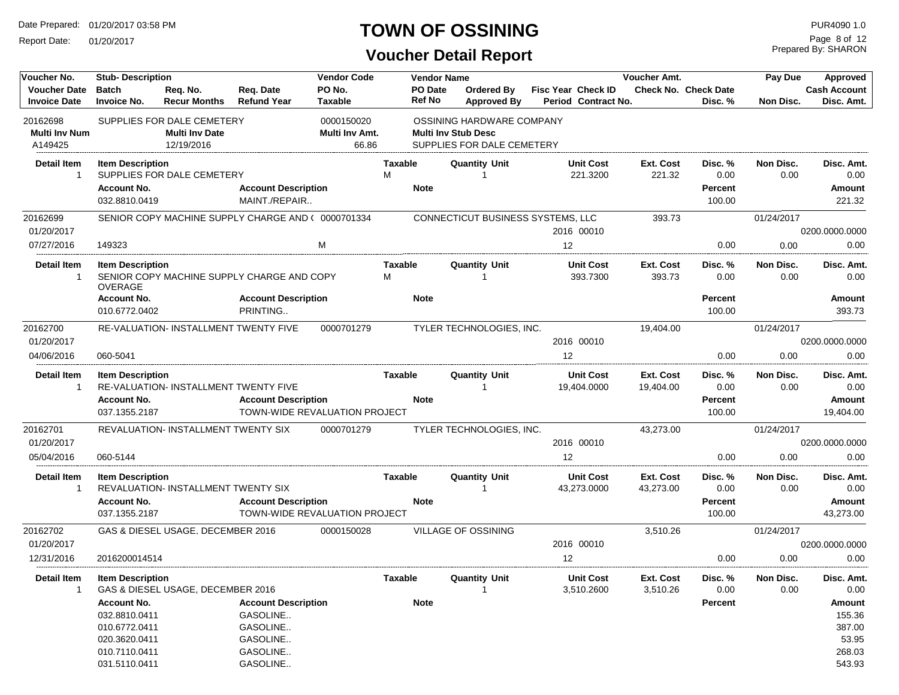Report Date: 01/20/2017

#### **TOWN OF OSSINING**

Prepared By: SHARON Page 8 of 12

| Voucher No.                                 | <b>Stub-Description</b>                                                                                 |                                                                   |                                                                                        | <b>Vendor Code</b>                    |                     | <b>Vendor Name</b>       |                                                                                       |                                                  | Voucher Amt.           |                                        | Pay Due           | Approved                                                |
|---------------------------------------------|---------------------------------------------------------------------------------------------------------|-------------------------------------------------------------------|----------------------------------------------------------------------------------------|---------------------------------------|---------------------|--------------------------|---------------------------------------------------------------------------------------|--------------------------------------------------|------------------------|----------------------------------------|-------------------|---------------------------------------------------------|
| <b>Voucher Date</b><br><b>Invoice Date</b>  | <b>Batch</b><br><b>Invoice No.</b>                                                                      | Req. No.<br><b>Recur Months</b>                                   | Req. Date<br><b>Refund Year</b>                                                        | PO No.<br>Taxable                     |                     | PO Date<br><b>Ref No</b> | Ordered By<br><b>Approved By</b>                                                      | <b>Fisc Year Check ID</b><br>Period Contract No. |                        | <b>Check No. Check Date</b><br>Disc. % | Non Disc.         | <b>Cash Account</b><br>Disc. Amt.                       |
| 20162698<br><b>Multi Inv Num</b><br>A149425 |                                                                                                         | SUPPLIES FOR DALE CEMETERY<br><b>Multi Inv Date</b><br>12/19/2016 |                                                                                        | 0000150020<br>Multi Inv Amt.<br>66.86 |                     |                          | OSSINING HARDWARE COMPANY<br><b>Multi Inv Stub Desc</b><br>SUPPLIES FOR DALE CEMETERY |                                                  |                        |                                        |                   |                                                         |
| <b>Detail Item</b><br>$\mathbf{1}$          | <b>Item Description</b>                                                                                 | SUPPLIES FOR DALE CEMETERY                                        |                                                                                        |                                       | Taxable<br>М        |                          | <b>Quantity Unit</b><br>-1                                                            | <b>Unit Cost</b><br>221.3200                     | Ext. Cost<br>221.32    | Disc. %<br>0.00                        | Non Disc.<br>0.00 | Disc. Amt.<br>0.00                                      |
|                                             | <b>Account No.</b><br>032.8810.0419                                                                     |                                                                   | <b>Account Description</b><br>MAINT./REPAIR                                            |                                       |                     | <b>Note</b>              |                                                                                       |                                                  |                        | Percent<br>100.00                      |                   | Amount<br>221.32                                        |
| 20162699<br>01/20/2017                      |                                                                                                         |                                                                   | SENIOR COPY MACHINE SUPPLY CHARGE AND ( 0000701334                                     |                                       |                     |                          | CONNECTICUT BUSINESS SYSTEMS, LLC                                                     | 2016 00010                                       | 393.73                 |                                        | 01/24/2017        | 0200.0000.0000                                          |
| 07/27/2016                                  | 149323                                                                                                  |                                                                   |                                                                                        | M                                     |                     |                          |                                                                                       | 12                                               |                        | 0.00                                   | 0.00              | 0.00                                                    |
| <b>Detail Item</b><br>$\overline{1}$        | <b>Item Description</b><br><b>OVERAGE</b>                                                               |                                                                   | SENIOR COPY MACHINE SUPPLY CHARGE AND COPY                                             |                                       | <b>Taxable</b><br>м |                          | <b>Quantity Unit</b><br>-1                                                            | <b>Unit Cost</b><br>393.7300                     | Ext. Cost<br>393.73    | Disc. %<br>0.00                        | Non Disc.<br>0.00 | Disc. Amt.<br>0.00                                      |
|                                             | <b>Account No.</b><br>010.6772.0402                                                                     |                                                                   | <b>Account Description</b><br>PRINTING                                                 |                                       |                     | <b>Note</b>              |                                                                                       |                                                  |                        | <b>Percent</b><br>100.00               |                   | Amount<br>393.73                                        |
| 20162700<br>01/20/2017                      |                                                                                                         | RE-VALUATION- INSTALLMENT TWENTY FIVE                             |                                                                                        | 0000701279                            |                     |                          | TYLER TECHNOLOGIES, INC.                                                              | 2016 00010                                       | 19,404.00              |                                        | 01/24/2017        | 0200.0000.0000                                          |
| 04/06/2016                                  | 060-5041                                                                                                |                                                                   |                                                                                        |                                       |                     |                          |                                                                                       | 12                                               |                        | 0.00                                   | 0.00              | 0.00                                                    |
| <b>Detail Item</b><br>-1                    | <b>Item Description</b>                                                                                 | RE-VALUATION- INSTALLMENT TWENTY FIVE                             |                                                                                        |                                       | Taxable             |                          | <b>Quantity Unit</b><br>1                                                             | <b>Unit Cost</b><br>19,404.0000                  | Ext. Cost<br>19,404.00 | Disc. %<br>0.00                        | Non Disc.<br>0.00 | Disc. Amt.<br>0.00                                      |
|                                             | <b>Account No.</b><br>037.1355.2187                                                                     |                                                                   | <b>Account Description</b>                                                             | TOWN-WIDE REVALUATION PROJECT         |                     | <b>Note</b>              |                                                                                       |                                                  |                        | Percent<br>100.00                      |                   | Amount<br>19,404.00                                     |
| 20162701<br>01/20/2017                      |                                                                                                         | REVALUATION- INSTALLMENT TWENTY SIX                               |                                                                                        | 0000701279                            |                     |                          | TYLER TECHNOLOGIES, INC.                                                              | 2016 00010                                       | 43,273.00              |                                        | 01/24/2017        | 0200.0000.0000                                          |
| 05/04/2016                                  | 060-5144                                                                                                |                                                                   |                                                                                        |                                       |                     |                          |                                                                                       | 12                                               |                        | 0.00                                   | 0.00              | 0.00                                                    |
| <b>Detail Item</b><br>$\overline{1}$        | <b>Item Description</b>                                                                                 | REVALUATION- INSTALLMENT TWENTY SIX                               |                                                                                        |                                       | Taxable             |                          | <b>Quantity Unit</b><br>-1                                                            | <b>Unit Cost</b><br>43,273.0000                  | Ext. Cost<br>43,273.00 | Disc. %<br>0.00                        | Non Disc.<br>0.00 | Disc. Amt.<br>0.00                                      |
|                                             | <b>Account No.</b><br>037.1355.2187                                                                     |                                                                   | <b>Account Description</b><br>TOWN-WIDE REVALUATION PROJECT                            |                                       |                     | <b>Note</b>              |                                                                                       |                                                  |                        | Percent<br>100.00                      |                   | Amount<br>43,273.00                                     |
| 20162702<br>01/20/2017                      |                                                                                                         | GAS & DIESEL USAGE, DECEMBER 2016                                 |                                                                                        | 0000150028                            |                     |                          | VILLAGE OF OSSINING                                                                   | 2016 00010                                       | 3,510.26               |                                        | 01/24/2017        | 0200.0000.0000                                          |
| 12/31/2016                                  | 2016200014514                                                                                           |                                                                   |                                                                                        |                                       |                     |                          |                                                                                       | 12                                               |                        | 0.00                                   | 0.00              | 0.00                                                    |
| Detail Item<br>$\mathbf{1}$                 | <b>Item Description</b>                                                                                 | GAS & DIESEL USAGE, DECEMBER 2016                                 |                                                                                        |                                       | Taxable             |                          | <b>Quantity Unit</b><br>$\overline{1}$                                                | <b>Unit Cost</b><br>3,510.2600                   | Ext. Cost<br>3,510.26  | Disc. %<br>0.00                        | Non Disc.<br>0.00 | Disc. Amt.<br>0.00                                      |
|                                             | <b>Account No.</b><br>032.8810.0411<br>010.6772.0411<br>020.3620.0411<br>010.7110.0411<br>031.5110.0411 |                                                                   | <b>Account Description</b><br>GASOLINE<br>GASOLINE<br>GASOLINE<br>GASOLINE<br>GASOLINE |                                       |                     | <b>Note</b>              |                                                                                       |                                                  |                        | Percent                                |                   | Amount<br>155.36<br>387.00<br>53.95<br>268.03<br>543.93 |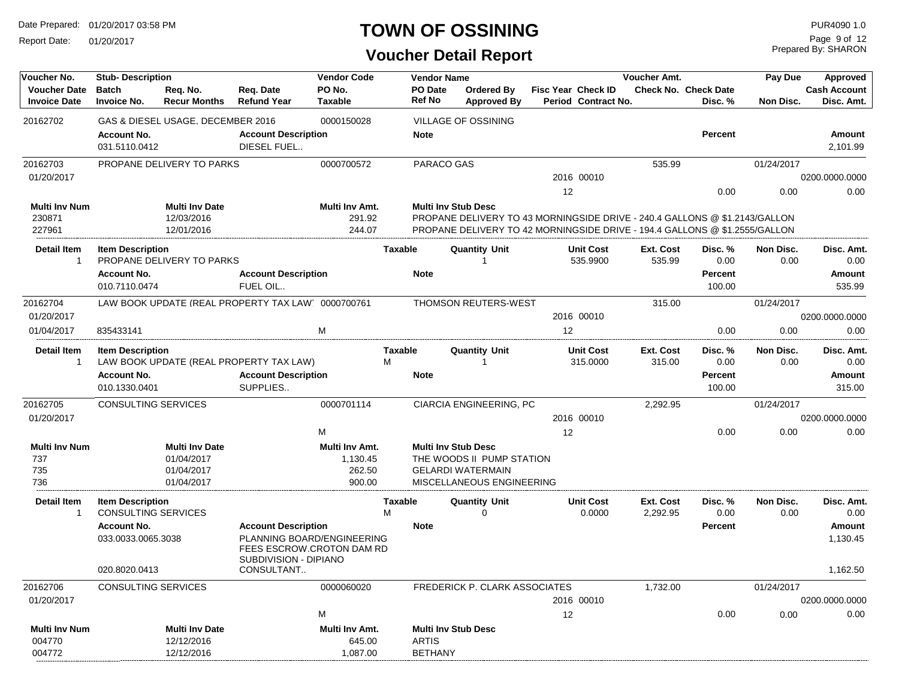Report Date: 01/20/2017

## **TOWN OF OSSINING** PURA090 1.0

Prepared By: SHARON Page 9 of 12

| Voucher No.                                | <b>Stub-Description</b>             |                                   |                                                    | <b>Vendor Code</b>       |                | <b>Vendor Name</b>             |                                                                                                                                                          |    |                                                  | Voucher Amt.        |                                        | Pay Due           | Approved                          |
|--------------------------------------------|-------------------------------------|-----------------------------------|----------------------------------------------------|--------------------------|----------------|--------------------------------|----------------------------------------------------------------------------------------------------------------------------------------------------------|----|--------------------------------------------------|---------------------|----------------------------------------|-------------------|-----------------------------------|
| <b>Voucher Date</b><br><b>Invoice Date</b> | <b>Batch</b><br><b>Invoice No.</b>  | Reg. No.<br><b>Recur Months</b>   | Reg. Date<br><b>Refund Year</b>                    | PO No.<br><b>Taxable</b> |                | PO Date<br><b>Ref No</b>       | <b>Ordered By</b><br><b>Approved By</b>                                                                                                                  |    | <b>Fisc Year Check ID</b><br>Period Contract No. |                     | <b>Check No. Check Date</b><br>Disc. % | Non Disc.         | <b>Cash Account</b><br>Disc. Amt. |
| 20162702                                   |                                     | GAS & DIESEL USAGE, DECEMBER 2016 |                                                    | 0000150028               |                |                                | <b>VILLAGE OF OSSINING</b>                                                                                                                               |    |                                                  |                     |                                        |                   |                                   |
|                                            | <b>Account No.</b><br>031.5110.0412 |                                   | <b>Account Description</b><br>DIESEL FUEL          |                          |                | <b>Note</b>                    |                                                                                                                                                          |    |                                                  |                     | <b>Percent</b>                         |                   | Amount<br>2,101.99                |
| 20162703                                   |                                     | PROPANE DELIVERY TO PARKS         |                                                    | 0000700572               |                | PARACO GAS                     |                                                                                                                                                          |    |                                                  | 535.99              |                                        | 01/24/2017        |                                   |
| 01/20/2017                                 |                                     |                                   |                                                    |                          |                |                                |                                                                                                                                                          |    | 2016 00010                                       |                     |                                        |                   | 0200.0000.0000                    |
|                                            |                                     |                                   |                                                    |                          |                |                                |                                                                                                                                                          | 12 |                                                  |                     | 0.00                                   | 0.00              | 0.00                              |
| <b>Multi Inv Num</b>                       |                                     | <b>Multi Inv Date</b>             |                                                    | Multi Inv Amt.           |                |                                | <b>Multi Inv Stub Desc</b>                                                                                                                               |    |                                                  |                     |                                        |                   |                                   |
| 230871<br>227961                           |                                     | 12/03/2016<br>12/01/2016          |                                                    | 291.92<br>244.07         |                |                                | PROPANE DELIVERY TO 43 MORNINGSIDE DRIVE - 240.4 GALLONS @ \$1.2143/GALLON<br>PROPANE DELIVERY TO 42 MORNINGSIDE DRIVE - 194.4 GALLONS @ \$1.2555/GALLON |    |                                                  |                     |                                        |                   |                                   |
|                                            |                                     |                                   |                                                    |                          |                |                                |                                                                                                                                                          |    |                                                  |                     |                                        |                   |                                   |
| <b>Detail Item</b><br>$\mathbf{1}$         | <b>Item Description</b>             | PROPANE DELIVERY TO PARKS         |                                                    |                          | <b>Taxable</b> |                                | <b>Quantity Unit</b><br>$\overline{1}$                                                                                                                   |    | <b>Unit Cost</b><br>535.9900                     | Ext. Cost<br>535.99 | Disc. %<br>0.00                        | Non Disc.<br>0.00 | Disc. Amt.<br>0.00                |
|                                            | <b>Account No.</b>                  |                                   | <b>Account Description</b>                         |                          |                | <b>Note</b>                    |                                                                                                                                                          |    |                                                  |                     | <b>Percent</b>                         |                   | <b>Amount</b>                     |
|                                            | 010.7110.0474                       |                                   | FUEL OIL                                           |                          |                |                                |                                                                                                                                                          |    |                                                  |                     | 100.00                                 |                   | 535.99                            |
| 20162704                                   |                                     |                                   | LAW BOOK UPDATE (REAL PROPERTY TAX LAW) 0000700761 |                          |                |                                | THOMSON REUTERS-WEST                                                                                                                                     |    |                                                  | 315.00              |                                        | 01/24/2017        |                                   |
| 01/20/2017                                 |                                     |                                   |                                                    |                          |                |                                |                                                                                                                                                          |    | 2016 00010                                       |                     |                                        |                   | 0200.0000.0000                    |
| 01/04/2017                                 | 835433141                           |                                   |                                                    | M                        |                |                                |                                                                                                                                                          | 12 |                                                  |                     | 0.00                                   | 0.00              | 0.00                              |
| <b>Detail Item</b>                         | <b>Item Description</b>             |                                   |                                                    |                          | <b>Taxable</b> |                                | <b>Quantity Unit</b>                                                                                                                                     |    | <b>Unit Cost</b>                                 | Ext. Cost           | Disc. %                                | Non Disc.         | Disc. Amt.                        |
| $\mathbf{1}$                               |                                     |                                   | LAW BOOK UPDATE (REAL PROPERTY TAX LAW)            |                          | M              |                                | $\overline{1}$                                                                                                                                           |    | 315.0000                                         | 315.00              | 0.00                                   | 0.00              | 0.00                              |
|                                            | <b>Account No.</b>                  |                                   | <b>Account Description</b>                         |                          |                | <b>Note</b>                    |                                                                                                                                                          |    |                                                  |                     | <b>Percent</b>                         |                   | Amount                            |
|                                            | 010.1330.0401                       |                                   | SUPPLIES                                           |                          |                |                                |                                                                                                                                                          |    |                                                  |                     | 100.00                                 |                   | 315.00                            |
| 20162705                                   | <b>CONSULTING SERVICES</b>          |                                   |                                                    | 0000701114               |                |                                | CIARCIA ENGINEERING, PC                                                                                                                                  |    |                                                  | 2,292.95            |                                        | 01/24/2017        |                                   |
| 01/20/2017                                 |                                     |                                   |                                                    |                          |                |                                |                                                                                                                                                          |    | 2016 00010                                       |                     |                                        |                   | 0200.0000.0000                    |
|                                            |                                     |                                   |                                                    | M                        |                |                                |                                                                                                                                                          | 12 |                                                  |                     | 0.00                                   | 0.00              | 0.00                              |
| <b>Multi Inv Num</b>                       |                                     | <b>Multi Inv Date</b>             |                                                    | Multi Inv Amt.           |                |                                | <b>Multi Inv Stub Desc</b>                                                                                                                               |    |                                                  |                     |                                        |                   |                                   |
| 737<br>735                                 |                                     | 01/04/2017<br>01/04/2017          |                                                    | 1,130.45<br>262.50       |                |                                | THE WOODS II PUMP STATION<br><b>GELARDI WATERMAIN</b>                                                                                                    |    |                                                  |                     |                                        |                   |                                   |
| 736                                        |                                     | 01/04/2017                        |                                                    | 900.00                   |                |                                | MISCELLANEOUS ENGINEERING                                                                                                                                |    |                                                  |                     |                                        |                   |                                   |
| <b>Detail Item</b>                         | <b>Item Description</b>             |                                   |                                                    |                          | <b>Taxable</b> |                                | <b>Quantity Unit</b>                                                                                                                                     |    | <b>Unit Cost</b>                                 | Ext. Cost           | Disc. %                                | Non Disc.         | Disc. Amt.                        |
| $\mathbf{1}$                               | <b>CONSULTING SERVICES</b>          |                                   |                                                    |                          | M              |                                | $\Omega$                                                                                                                                                 |    | 0.0000                                           | 2,292.95            | 0.00                                   | 0.00              | 0.00                              |
|                                            | <b>Account No.</b>                  |                                   | <b>Account Description</b>                         |                          |                | <b>Note</b>                    |                                                                                                                                                          |    |                                                  |                     | <b>Percent</b>                         |                   | Amount                            |
|                                            | 033.0033.0065.3038                  |                                   | PLANNING BOARD/ENGINEERING                         |                          |                |                                |                                                                                                                                                          |    |                                                  |                     |                                        |                   | 1,130.45                          |
|                                            |                                     |                                   | FEES ESCROW.CROTON DAM RD<br>SUBDIVISION - DIPIANO |                          |                |                                |                                                                                                                                                          |    |                                                  |                     |                                        |                   |                                   |
|                                            | 020.8020.0413                       |                                   | CONSULTANT                                         |                          |                |                                |                                                                                                                                                          |    |                                                  |                     |                                        |                   | 1,162.50                          |
| 20162706                                   | CONSULTING SERVICES                 |                                   |                                                    | 0000060020               |                |                                | FREDERICK P. CLARK ASSOCIATES                                                                                                                            |    |                                                  | 1,732.00            |                                        | 01/24/2017        |                                   |
| 01/20/2017                                 |                                     |                                   |                                                    |                          |                |                                |                                                                                                                                                          |    | 2016 00010                                       |                     |                                        |                   | 0200.0000.0000                    |
|                                            |                                     |                                   |                                                    | M                        |                |                                |                                                                                                                                                          | 12 |                                                  |                     | 0.00                                   | 0.00              | 0.00                              |
| <b>Multi Inv Num</b>                       |                                     | <b>Multi Inv Date</b>             |                                                    | <b>Multi Inv Amt.</b>    |                |                                | <b>Multi Inv Stub Desc</b>                                                                                                                               |    |                                                  |                     |                                        |                   |                                   |
| 004770<br>004772                           |                                     | 12/12/2016<br>12/12/2016          |                                                    | 645.00<br>1,087.00       |                | <b>ARTIS</b><br><b>BETHANY</b> |                                                                                                                                                          |    |                                                  |                     |                                        |                   |                                   |
|                                            |                                     |                                   |                                                    |                          |                |                                |                                                                                                                                                          |    |                                                  |                     |                                        |                   |                                   |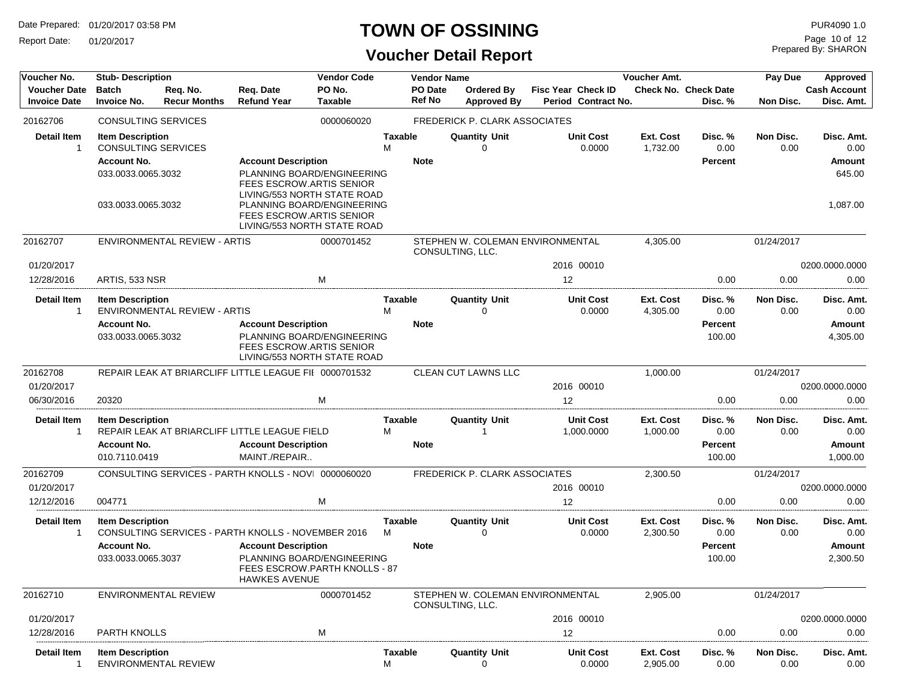Report Date: 01/20/2017

### **TOWN OF OSSINING**

## **Voucher Detail Report**

Prepared By: SHARON Page 10 of 12

| Voucher No.                                | <b>Stub-Description</b>                                                                                                 |                                     |                                                                                                                                                                                                              | <b>Vendor Code</b>       |                     | <b>Vendor Name</b>       |                                                      |                                           | Voucher Amt.          |                                        | Pay Due           | Approved                                           |
|--------------------------------------------|-------------------------------------------------------------------------------------------------------------------------|-------------------------------------|--------------------------------------------------------------------------------------------------------------------------------------------------------------------------------------------------------------|--------------------------|---------------------|--------------------------|------------------------------------------------------|-------------------------------------------|-----------------------|----------------------------------------|-------------------|----------------------------------------------------|
| <b>Voucher Date</b><br><b>Invoice Date</b> | <b>Batch</b><br><b>Invoice No.</b>                                                                                      | Req. No.<br><b>Recur Months</b>     | Req. Date<br><b>Refund Year</b>                                                                                                                                                                              | PO No.<br><b>Taxable</b> |                     | PO Date<br><b>Ref No</b> | <b>Ordered By</b><br><b>Approved By</b>              | Fisc Year Check ID<br>Period Contract No. |                       | <b>Check No. Check Date</b><br>Disc. % | Non Disc.         | <b>Cash Account</b><br>Disc. Amt.                  |
| 20162706                                   | <b>CONSULTING SERVICES</b>                                                                                              |                                     |                                                                                                                                                                                                              | 0000060020               |                     |                          | <b>FREDERICK P. CLARK ASSOCIATES</b>                 |                                           |                       |                                        |                   |                                                    |
| <b>Detail Item</b><br>1                    | <b>Item Description</b><br><b>CONSULTING SERVICES</b><br><b>Account No.</b><br>033.0033.0065.3032<br>033.0033.0065.3032 |                                     | <b>Account Description</b><br>PLANNING BOARD/ENGINEERING<br>FEES ESCROW.ARTIS SENIOR<br>LIVING/553 NORTH STATE ROAD<br>PLANNING BOARD/ENGINEERING<br>FEES ESCROW.ARTIS SENIOR<br>LIVING/553 NORTH STATE ROAD |                          | <b>Taxable</b><br>M | <b>Note</b>              | <b>Quantity Unit</b><br>0                            | <b>Unit Cost</b><br>0.0000                | Ext. Cost<br>1,732.00 | Disc. %<br>0.00<br>Percent             | Non Disc.<br>0.00 | Disc. Amt.<br>0.00<br>Amount<br>645.00<br>1.087.00 |
| 20162707                                   |                                                                                                                         | ENVIRONMENTAL REVIEW - ARTIS        |                                                                                                                                                                                                              | 0000701452               |                     |                          | STEPHEN W. COLEMAN ENVIRONMENTAL<br>CONSULTING, LLC. |                                           | 4,305.00              |                                        | 01/24/2017        |                                                    |
| 01/20/2017                                 |                                                                                                                         |                                     |                                                                                                                                                                                                              |                          |                     |                          |                                                      | 2016 00010                                |                       |                                        |                   | 0200.0000.0000                                     |
| 12/28/2016                                 | ARTIS, 533 NSR                                                                                                          |                                     |                                                                                                                                                                                                              | M                        |                     |                          |                                                      | 12                                        |                       | 0.00                                   | 0.00              | 0.00                                               |
| <b>Detail Item</b>                         | <b>Item Description</b><br><b>Account No.</b><br>033.0033.0065.3032                                                     | <b>ENVIRONMENTAL REVIEW - ARTIS</b> | <b>Account Description</b><br>PLANNING BOARD/ENGINEERING<br>FEES ESCROW.ARTIS SENIOR<br>LIVING/553 NORTH STATE ROAD                                                                                          |                          | <b>Taxable</b><br>м | <b>Note</b>              | <b>Quantity Unit</b><br>0                            | <b>Unit Cost</b><br>0.0000                | Ext. Cost<br>4,305.00 | Disc. %<br>0.00<br>Percent<br>100.00   | Non Disc.<br>0.00 | Disc. Amt.<br>0.00<br><b>Amount</b><br>4,305.00    |
| 20162708                                   |                                                                                                                         |                                     | REPAIR LEAK AT BRIARCLIFF LITTLE LEAGUE FII 0000701532                                                                                                                                                       |                          |                     |                          | CLEAN CUT LAWNS LLC                                  |                                           | 1,000.00              |                                        | 01/24/2017        |                                                    |
| 01/20/2017                                 |                                                                                                                         |                                     |                                                                                                                                                                                                              |                          |                     |                          |                                                      | 2016 00010                                |                       |                                        |                   | 0200.0000.0000                                     |
| 06/30/2016                                 | 20320                                                                                                                   |                                     |                                                                                                                                                                                                              | M                        |                     |                          |                                                      | 12                                        |                       | 0.00                                   | 0.00              | 0.00                                               |
| <b>Detail Item</b><br>-1                   | <b>Item Description</b><br><b>Account No.</b><br>010.7110.0419                                                          |                                     | REPAIR LEAK AT BRIARCLIFF LITTLE LEAGUE FIELD<br><b>Account Description</b><br>MAINT./REPAIR                                                                                                                 |                          | <b>Taxable</b><br>м | <b>Note</b>              | <b>Quantity Unit</b><br>-1                           | <b>Unit Cost</b><br>1,000.0000            | Ext. Cost<br>1,000.00 | Disc.%<br>0.00<br>Percent<br>100.00    | Non Disc.<br>0.00 | Disc. Amt.<br>0.00<br><b>Amount</b><br>1,000.00    |
| 20162709                                   |                                                                                                                         |                                     | CONSULTING SERVICES - PARTH KNOLLS - NOVI 0000060020                                                                                                                                                         |                          |                     |                          | FREDERICK P. CLARK ASSOCIATES                        |                                           | 2,300.50              |                                        | 01/24/2017        |                                                    |
| 01/20/2017                                 |                                                                                                                         |                                     |                                                                                                                                                                                                              |                          |                     |                          |                                                      | 2016 00010                                |                       |                                        |                   | 0200.0000.0000                                     |
| 12/12/2016                                 | 004771                                                                                                                  |                                     |                                                                                                                                                                                                              | м                        |                     |                          |                                                      | 12                                        |                       | 0.00                                   | 0.00              | 0.00                                               |
| <b>Detail Item</b>                         | <b>Item Description</b><br><b>Account No.</b><br>033.0033.0065.3037                                                     |                                     | CONSULTING SERVICES - PARTH KNOLLS - NOVEMBER 2016<br><b>Account Description</b><br>PLANNING BOARD/ENGINEERING<br>FEES ESCROW.PARTH KNOLLS - 87<br><b>HAWKES AVENUE</b>                                      |                          | <b>Taxable</b><br>M | <b>Note</b>              | <b>Quantity Unit</b><br>$\Omega$                     | <b>Unit Cost</b><br>0.0000                | Ext. Cost<br>2,300.50 | Disc. %<br>0.00<br>Percent<br>100.00   | Non Disc.<br>0.00 | Disc. Amt.<br>0.00<br>Amount<br>2,300.50           |
| 20162710                                   |                                                                                                                         | ENVIRONMENTAL REVIEW                |                                                                                                                                                                                                              | 0000701452               |                     |                          | CONSULTING, LLC.                                     | STEPHEN W. COLEMAN ENVIRONMENTAL          | 2,905.00              |                                        | 01/24/2017        |                                                    |
| 01/20/2017                                 |                                                                                                                         |                                     |                                                                                                                                                                                                              |                          |                     |                          |                                                      | 2016 00010                                |                       |                                        |                   | 0200.0000.0000                                     |
| 12/28/2016                                 | PARTH KNOLLS                                                                                                            |                                     |                                                                                                                                                                                                              | M                        |                     |                          |                                                      | 12                                        |                       | 0.00                                   | 0.00              | 0.00                                               |
| <b>Detail Item</b><br>$\mathbf 1$          | <b>Item Description</b>                                                                                                 | <b>ENVIRONMENTAL REVIEW</b>         |                                                                                                                                                                                                              |                          | <b>Taxable</b><br>M |                          | <b>Quantity Unit</b><br>0                            | <b>Unit Cost</b><br>0.0000                | Ext. Cost<br>2,905.00 | Disc. %<br>0.00                        | Non Disc.<br>0.00 | Disc. Amt.<br>0.00                                 |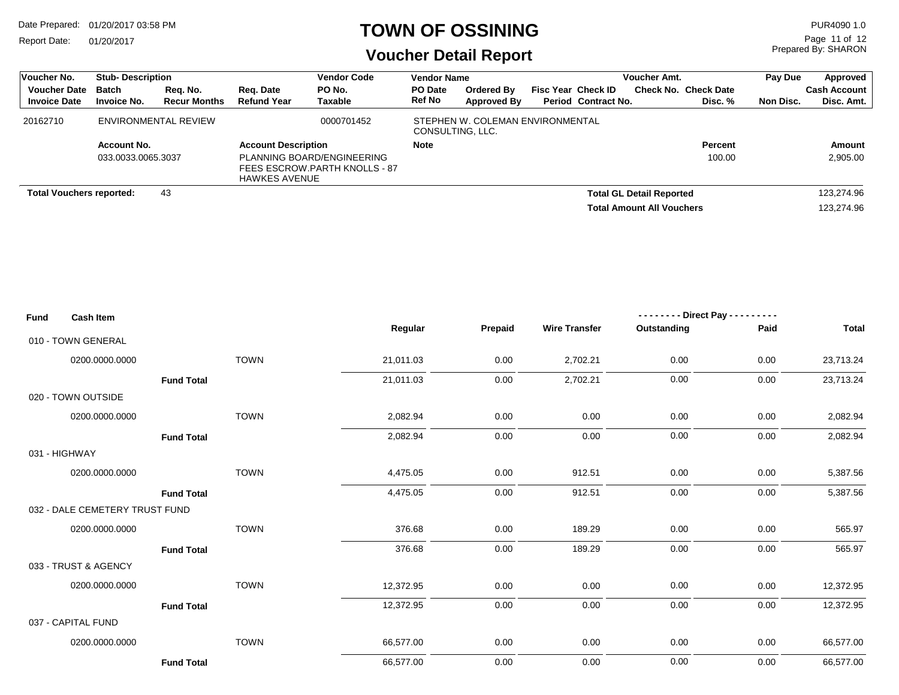Report Date: 01/20/2017

#### **TOWN OF OSSINING**

Prepared By: SHARON Page 11 of 12

| Voucher No.                                | <b>Stub-Description</b>         |                                 |                                 | <b>Vendor Code</b>                                          | <b>Vendor Name</b> |                                         |                                                         | <b>Voucher Amt.</b>              |                              | Pay Due   | Approved                   |
|--------------------------------------------|---------------------------------|---------------------------------|---------------------------------|-------------------------------------------------------------|--------------------|-----------------------------------------|---------------------------------------------------------|----------------------------------|------------------------------|-----------|----------------------------|
| <b>Voucher Date</b><br><b>Invoice Date</b> | Batch<br><b>Invoice No.</b>     | Reg. No.<br><b>Recur Months</b> | Rea. Date<br><b>Refund Year</b> | PO No.<br>Taxable                                           | PO Date<br>Ref No  | <b>Ordered By</b><br><b>Approved By</b> | <b>Fisc Year Check ID</b><br><b>Period Contract No.</b> | Check No.                        | <b>Check Date</b><br>Disc. % | Non Disc. | Cash Account<br>Disc. Amt. |
| 20162710                                   | ENVIRONMENTAL REVIEW            |                                 |                                 | 0000701452                                                  | CONSULTING, LLC.   | STEPHEN W. COLEMAN ENVIRONMENTAL        |                                                         |                                  |                              |           |                            |
|                                            | Account No.                     |                                 | <b>Account Description</b>      |                                                             | <b>Note</b>        |                                         |                                                         |                                  | <b>Percent</b>               |           | Amount                     |
|                                            | 033.0033.0065.3037              |                                 | <b>HAWKES AVENUE</b>            | PLANNING BOARD/ENGINEERING<br>FEES ESCROW.PARTH KNOLLS - 87 |                    |                                         |                                                         |                                  | 100.00                       |           | 2,905.00                   |
|                                            |                                 | 43                              |                                 |                                                             |                    |                                         |                                                         | <b>Total GL Detail Reported</b>  |                              |           | 123,274.96                 |
|                                            | <b>Total Vouchers reported:</b> |                                 |                                 |                                                             |                    |                                         |                                                         | <b>Total Amount All Vouchers</b> |                              |           | 123.274.96                 |

| <b>Fund</b> | <b>Cash Item</b>               |             |           |          |                      | $- - - - - - -$ Direct Pay - - - - - - - - - |           |              |
|-------------|--------------------------------|-------------|-----------|----------|----------------------|----------------------------------------------|-----------|--------------|
|             |                                |             | Regular   | Prepaid  | <b>Wire Transfer</b> | Outstanding                                  | Paid      | <b>Total</b> |
|             | 010 - TOWN GENERAL             |             |           |          |                      |                                              |           |              |
|             | 0200.0000.0000                 | <b>TOWN</b> | 21,011.03 | 0.00     | 2,702.21             | 0.00                                         | 0.00      | 23,713.24    |
|             | <b>Fund Total</b>              | 21,011.03   | 0.00      | 2,702.21 | 0.00                 | 0.00                                         | 23,713.24 |              |
|             | 020 - TOWN OUTSIDE             |             |           |          |                      |                                              |           |              |
|             | 0200.0000.0000                 | <b>TOWN</b> | 2,082.94  | 0.00     | 0.00                 | 0.00                                         | 0.00      | 2,082.94     |
|             | <b>Fund Total</b>              |             | 2,082.94  | 0.00     | 0.00                 | 0.00                                         | 0.00      | 2,082.94     |
|             | 031 - HIGHWAY                  |             |           |          |                      |                                              |           |              |
|             | 0200.0000.0000                 | <b>TOWN</b> | 4,475.05  | 0.00     | 912.51               | 0.00                                         | 0.00      | 5,387.56     |
|             | <b>Fund Total</b>              |             | 4,475.05  | 0.00     | 912.51               | 0.00                                         | 0.00      | 5,387.56     |
|             | 032 - DALE CEMETERY TRUST FUND |             |           |          |                      |                                              |           |              |
|             | 0200.0000.0000                 | <b>TOWN</b> | 376.68    | 0.00     | 189.29               | 0.00                                         | 0.00      | 565.97       |
|             | <b>Fund Total</b>              |             | 376.68    | 0.00     | 189.29               | 0.00                                         | 0.00      | 565.97       |
|             | 033 - TRUST & AGENCY           |             |           |          |                      |                                              |           |              |
|             | 0200.0000.0000                 | <b>TOWN</b> | 12,372.95 | 0.00     | 0.00                 | 0.00                                         | 0.00      | 12,372.95    |
|             | <b>Fund Total</b>              |             | 12,372.95 | 0.00     | 0.00                 | 0.00                                         | 0.00      | 12,372.95    |
|             | 037 - CAPITAL FUND             |             |           |          |                      |                                              |           |              |
|             | 0200.0000.0000                 | <b>TOWN</b> | 66,577.00 | 0.00     | 0.00                 | 0.00                                         | 0.00      | 66,577.00    |
|             | <b>Fund Total</b>              |             | 66,577.00 | 0.00     | 0.00                 | 0.00                                         | 0.00      | 66,577.00    |